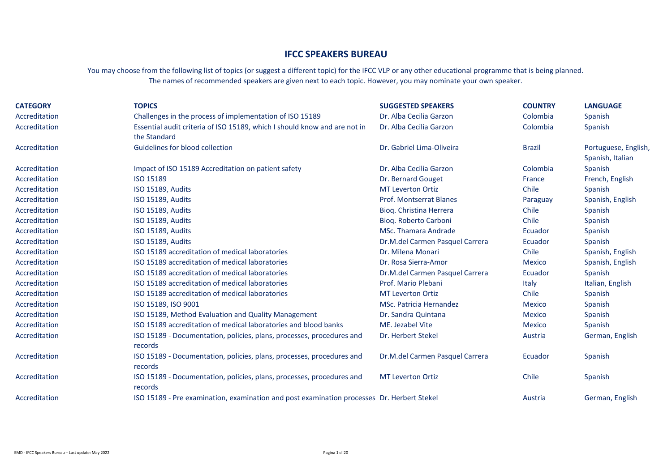## **IFCC SPEAKERS BUREAU**

You may choose from the following list of topics (or suggest a different topic) for the IFCC VLP or any other educational programme that is being planned. The names of recommended speakers are given next to each topic. However, you may nominate your own speaker.

| <b>CATEGORY</b> | <b>TOPICS</b>                                                                              | <b>SUGGESTED SPEAKERS</b>       | <b>COUNTRY</b> | <b>LANGUAGE</b>                          |
|-----------------|--------------------------------------------------------------------------------------------|---------------------------------|----------------|------------------------------------------|
| Accreditation   | Challenges in the process of implementation of ISO 15189                                   | Dr. Alba Cecilia Garzon         | Colombia       | Spanish                                  |
| Accreditation   | Essential audit criteria of ISO 15189, which I should know and are not in<br>the Standard  | Dr. Alba Cecilia Garzon         | Colombia       | Spanish                                  |
| Accreditation   | Guidelines for blood collection                                                            | Dr. Gabriel Lima-Oliveira       | <b>Brazil</b>  | Portuguese, English,<br>Spanish, Italian |
| Accreditation   | Impact of ISO 15189 Accreditation on patient safety                                        | Dr. Alba Cecilia Garzon         | Colombia       | Spanish                                  |
| Accreditation   | ISO 15189                                                                                  | Dr. Bernard Gouget              | France         | French, English                          |
| Accreditation   | <b>ISO 15189, Audits</b>                                                                   | <b>MT Leverton Ortiz</b>        | Chile          | Spanish                                  |
| Accreditation   | <b>ISO 15189, Audits</b>                                                                   | <b>Prof. Montserrat Blanes</b>  | Paraguay       | Spanish, English                         |
| Accreditation   | ISO 15189, Audits                                                                          | Bioq. Christina Herrera         | Chile          | Spanish                                  |
| Accreditation   | ISO 15189, Audits                                                                          | Bioq. Roberto Carboni           | Chile          | Spanish                                  |
| Accreditation   | <b>ISO 15189, Audits</b>                                                                   | <b>MSc. Thamara Andrade</b>     | Ecuador        | Spanish                                  |
| Accreditation   | ISO 15189, Audits                                                                          | Dr.M.del Carmen Pasquel Carrera | Ecuador        | Spanish                                  |
| Accreditation   | ISO 15189 accreditation of medical laboratories                                            | Dr. Milena Monari               | Chile          | Spanish, English                         |
| Accreditation   | ISO 15189 accreditation of medical laboratories                                            | Dr. Rosa Sierra-Amor            | <b>Mexico</b>  | Spanish, English                         |
| Accreditation   | ISO 15189 accreditation of medical laboratories                                            | Dr.M.del Carmen Pasquel Carrera | Ecuador        | Spanish                                  |
| Accreditation   | ISO 15189 accreditation of medical laboratories                                            | Prof. Mario Plebani             | <b>Italy</b>   | Italian, English                         |
| Accreditation   | ISO 15189 accreditation of medical laboratories                                            | <b>MT Leverton Ortiz</b>        | Chile          | Spanish                                  |
| Accreditation   | ISO 15189, ISO 9001                                                                        | <b>MSc. Patricia Hernandez</b>  | <b>Mexico</b>  | Spanish                                  |
| Accreditation   | ISO 15189, Method Evaluation and Quality Management                                        | Dr. Sandra Quintana             | <b>Mexico</b>  | Spanish                                  |
| Accreditation   | ISO 15189 accreditation of medical laboratories and blood banks                            | ME. Jezabel Vite                | <b>Mexico</b>  | Spanish                                  |
| Accreditation   | ISO 15189 - Documentation, policies, plans, processes, procedures and<br>records           | Dr. Herbert Stekel              | Austria        | German, English                          |
| Accreditation   | ISO 15189 - Documentation, policies, plans, processes, procedures and<br>records           | Dr.M.del Carmen Pasquel Carrera | Ecuador        | Spanish                                  |
| Accreditation   | ISO 15189 - Documentation, policies, plans, processes, procedures and<br>records           | <b>MT Leverton Ortiz</b>        | Chile          | Spanish                                  |
| Accreditation   | ISO 15189 - Pre examination, examination and post examination processes Dr. Herbert Stekel |                                 | Austria        | German, English                          |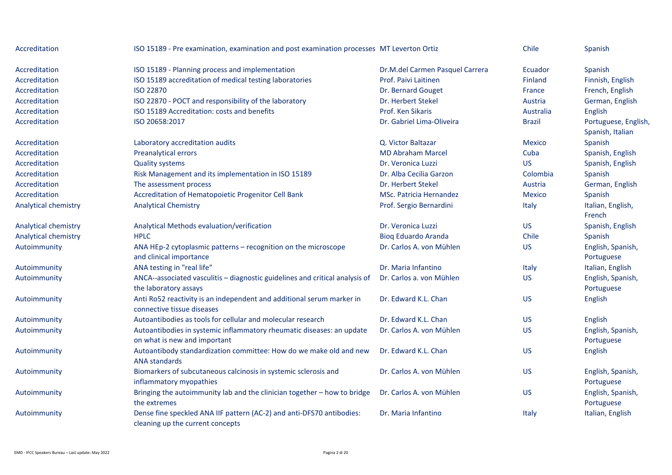| Accreditation        | ISO 15189 - Pre examination, examination and post examination processes MT Leverton Ortiz                 |                                 | Chile         | Spanish                                  |
|----------------------|-----------------------------------------------------------------------------------------------------------|---------------------------------|---------------|------------------------------------------|
| Accreditation        | ISO 15189 - Planning process and implementation                                                           | Dr.M.del Carmen Pasquel Carrera | Ecuador       | Spanish                                  |
| <b>Accreditation</b> | ISO 15189 accreditation of medical testing laboratories                                                   | Prof. Paivi Laitinen            | Finland       | Finnish, English                         |
| Accreditation        | <b>ISO 22870</b>                                                                                          | Dr. Bernard Gouget              | France        | French, English                          |
| Accreditation        | ISO 22870 - POCT and responsibility of the laboratory                                                     | Dr. Herbert Stekel              | Austria       | German, English                          |
| <b>Accreditation</b> | ISO 15189 Accreditation: costs and benefits                                                               | Prof. Ken Sikaris               | Australia     | English                                  |
| <b>Accreditation</b> | ISO 20658:2017                                                                                            | Dr. Gabriel Lima-Oliveira       | <b>Brazil</b> | Portuguese, English,<br>Spanish, Italian |
| Accreditation        | Laboratory accreditation audits                                                                           | Q. Victor Baltazar              | <b>Mexico</b> | Spanish                                  |
| Accreditation        | Preanalytical errors                                                                                      | <b>MD Abraham Marcel</b>        | Cuba          | Spanish, English                         |
| Accreditation        | <b>Quality systems</b>                                                                                    | Dr. Veronica Luzzi              | <b>US</b>     | Spanish, English                         |
| Accreditation        | Risk Management and its implementation in ISO 15189                                                       | Dr. Alba Cecilia Garzon         | Colombia      | Spanish                                  |
| Accreditation        | The assessment process                                                                                    | Dr. Herbert Stekel              | Austria       | German, English                          |
| Accreditation        | Accreditation of Hematopoietic Progenitor Cell Bank                                                       | <b>MSc. Patricia Hernandez</b>  | <b>Mexico</b> | Spanish                                  |
| Analytical chemistry | <b>Analytical Chemistry</b>                                                                               | Prof. Sergio Bernardini         | Italy         | Italian, English,<br>French              |
| Analytical chemistry | Analytical Methods evaluation/verification                                                                | Dr. Veronica Luzzi              | <b>US</b>     | Spanish, English                         |
| Analytical chemistry | <b>HPLC</b>                                                                                               | <b>Bioq Eduardo Aranda</b>      | Chile         | Spanish                                  |
| Autoimmunity         | ANA HEp-2 cytoplasmic patterns - recognition on the microscope<br>and clinical importance                 | Dr. Carlos A. von Mühlen        | <b>US</b>     | English, Spanish,<br>Portuguese          |
| Autoimmunity         | ANA testing in "real life"                                                                                | Dr. Maria Infantino             | Italy         | Italian, English                         |
| Autoimmunity         | ANCA--associated vasculitis - diagnostic guidelines and critical analysis of<br>the laboratory assays     | Dr. Carlos a. von Mühlen        | <b>US</b>     | English, Spanish,<br>Portuguese          |
| Autoimmunity         | Anti Ro52 reactivity is an independent and additional serum marker in<br>connective tissue diseases       | Dr. Edward K.L. Chan            | <b>US</b>     | English                                  |
| Autoimmunity         | Autoantibodies as tools for cellular and molecular research                                               | Dr. Edward K.L. Chan            | <b>US</b>     | English                                  |
| Autoimmunity         | Autoantibodies in systemic inflammatory rheumatic diseases: an update<br>on what is new and important     | Dr. Carlos A. von Mühlen        | <b>US</b>     | English, Spanish,<br>Portuguese          |
| Autoimmunity         | Autoantibody standardization committee: How do we make old and new<br><b>ANA standards</b>                | Dr. Edward K.L. Chan            | <b>US</b>     | English                                  |
| Autoimmunity         | Biomarkers of subcutaneous calcinosis in systemic sclerosis and<br>inflammatory myopathies                | Dr. Carlos A. von Mühlen        | <b>US</b>     | English, Spanish,<br>Portuguese          |
| Autoimmunity         | Bringing the autoimmunity lab and the clinician together - how to bridge<br>the extremes                  | Dr. Carlos A. von Mühlen        | <b>US</b>     | English, Spanish,<br>Portuguese          |
| Autoimmunity         | Dense fine speckled ANA IIF pattern (AC-2) and anti-DFS70 antibodies:<br>cleaning up the current concepts | Dr. Maria Infantino             | Italy         | Italian, English                         |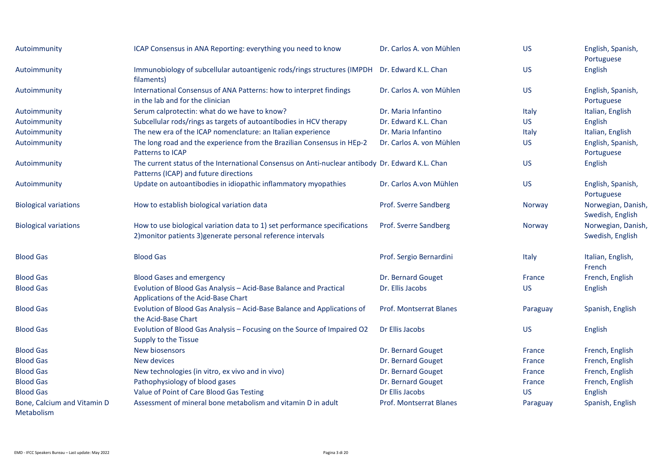| Autoimmunity                              | ICAP Consensus in ANA Reporting: everything you need to know                                                                              | Dr. Carlos A. von Mühlen       | <b>US</b> | English, Spanish,<br>Portuguese        |
|-------------------------------------------|-------------------------------------------------------------------------------------------------------------------------------------------|--------------------------------|-----------|----------------------------------------|
| Autoimmunity                              | Immunobiology of subcellular autoantigenic rods/rings structures (IMPDH Dr. Edward K.L. Chan<br>filaments)                                |                                | <b>US</b> | English                                |
| Autoimmunity                              | International Consensus of ANA Patterns: how to interpret findings<br>in the lab and for the clinician                                    | Dr. Carlos A. von Mühlen       | <b>US</b> | English, Spanish,<br>Portuguese        |
| Autoimmunity                              | Serum calprotectin: what do we have to know?                                                                                              | Dr. Maria Infantino            | Italy     | Italian, English                       |
| Autoimmunity                              | Subcellular rods/rings as targets of autoantibodies in HCV therapy                                                                        | Dr. Edward K.L. Chan           | <b>US</b> | English                                |
| Autoimmunity                              | The new era of the ICAP nomenclature: an Italian experience                                                                               | Dr. Maria Infantino            | Italy     | Italian, English                       |
| Autoimmunity                              | The long road and the experience from the Brazilian Consensus in HEp-2<br>Patterns to ICAP                                                | Dr. Carlos A. von Mühlen       | <b>US</b> | English, Spanish,<br>Portuguese        |
| Autoimmunity                              | The current status of the International Consensus on Anti-nuclear antibody Dr. Edward K.L. Chan<br>Patterns (ICAP) and future directions  |                                | <b>US</b> | English                                |
| Autoimmunity                              | Update on autoantibodies in idiopathic inflammatory myopathies                                                                            | Dr. Carlos A.von Mühlen        | <b>US</b> | English, Spanish,<br>Portuguese        |
| <b>Biological variations</b>              | How to establish biological variation data                                                                                                | Prof. Sverre Sandberg          | Norway    | Norwegian, Danish,<br>Swedish, English |
| <b>Biological variations</b>              | How to use biological variation data to 1) set performance specifications<br>2) monitor patients 3) generate personal reference intervals | Prof. Sverre Sandberg          | Norway    | Norwegian, Danish,<br>Swedish, English |
| <b>Blood Gas</b>                          | <b>Blood Gas</b>                                                                                                                          | Prof. Sergio Bernardini        | Italy     | Italian, English,<br>French            |
| <b>Blood Gas</b>                          | <b>Blood Gases and emergency</b>                                                                                                          | Dr. Bernard Gouget             | France    | French, English                        |
| <b>Blood Gas</b>                          | Evolution of Blood Gas Analysis - Acid-Base Balance and Practical<br>Applications of the Acid-Base Chart                                  | Dr. Ellis Jacobs               | <b>US</b> | English                                |
| <b>Blood Gas</b>                          | Evolution of Blood Gas Analysis - Acid-Base Balance and Applications of<br>the Acid-Base Chart                                            | <b>Prof. Montserrat Blanes</b> | Paraguay  | Spanish, English                       |
| <b>Blood Gas</b>                          | Evolution of Blood Gas Analysis - Focusing on the Source of Impaired O2<br>Supply to the Tissue                                           | Dr Ellis Jacobs                | <b>US</b> | English                                |
| <b>Blood Gas</b>                          | New biosensors                                                                                                                            | Dr. Bernard Gouget             | France    | French, English                        |
| <b>Blood Gas</b>                          | New devices                                                                                                                               | Dr. Bernard Gouget             | France    | French, English                        |
| <b>Blood Gas</b>                          | New technologies (in vitro, ex vivo and in vivo)                                                                                          | Dr. Bernard Gouget             | France    | French, English                        |
| <b>Blood Gas</b>                          | Pathophysiology of blood gases                                                                                                            | Dr. Bernard Gouget             | France    | French, English                        |
| <b>Blood Gas</b>                          | Value of Point of Care Blood Gas Testing                                                                                                  | Dr Ellis Jacobs                | <b>US</b> | English                                |
| Bone, Calcium and Vitamin D<br>Metabolism | Assessment of mineral bone metabolism and vitamin D in adult                                                                              | Prof. Montserrat Blanes        | Paraguay  | Spanish, English                       |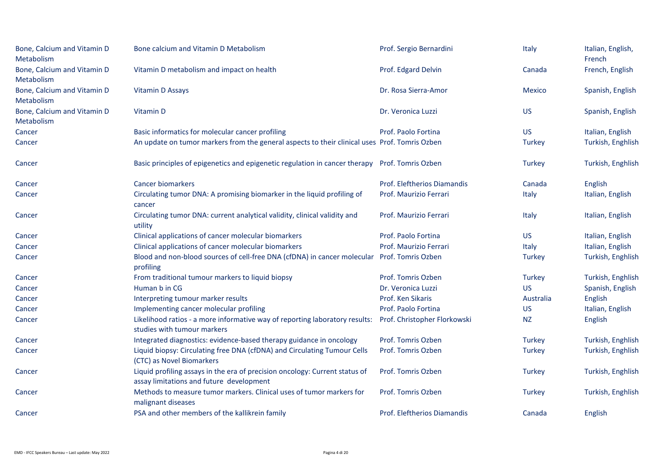| Bone, Calcium and Vitamin D<br>Metabolism | Bone calcium and Vitamin D Metabolism                                                                                   | Prof. Sergio Bernardini      | Italy         | Italian, English,<br>French |
|-------------------------------------------|-------------------------------------------------------------------------------------------------------------------------|------------------------------|---------------|-----------------------------|
| Bone, Calcium and Vitamin D<br>Metabolism | Vitamin D metabolism and impact on health                                                                               | Prof. Edgard Delvin          | Canada        | French, English             |
| Bone, Calcium and Vitamin D<br>Metabolism | Vitamin D Assays                                                                                                        | Dr. Rosa Sierra-Amor         | <b>Mexico</b> | Spanish, English            |
| Bone, Calcium and Vitamin D<br>Metabolism | Vitamin D                                                                                                               | Dr. Veronica Luzzi           | <b>US</b>     | Spanish, English            |
| Cancer                                    | Basic informatics for molecular cancer profiling                                                                        | Prof. Paolo Fortina          | <b>US</b>     | Italian, English            |
| Cancer                                    | An update on tumor markers from the general aspects to their clinical uses Prof. Tomris Ozben                           |                              | <b>Turkey</b> | Turkish, Enghlish           |
| Cancer                                    | Basic principles of epigenetics and epigenetic regulation in cancer therapy Prof. Tomris Ozben                          |                              | <b>Turkey</b> | Turkish, Enghlish           |
| Cancer                                    | <b>Cancer biomarkers</b>                                                                                                | Prof. Eleftherios Diamandis  | Canada        | English                     |
| Cancer                                    | Circulating tumor DNA: A promising biomarker in the liquid profiling of<br>cancer                                       | Prof. Maurizio Ferrari       | Italy         | Italian, English            |
| Cancer                                    | Circulating tumor DNA: current analytical validity, clinical validity and<br>utility                                    | Prof. Maurizio Ferrari       | Italy         | Italian, English            |
| Cancer                                    | Clinical applications of cancer molecular biomarkers                                                                    | Prof. Paolo Fortina          | <b>US</b>     | Italian, English            |
| Cancer                                    | Clinical applications of cancer molecular biomarkers                                                                    | Prof. Maurizio Ferrari       | Italy         | Italian, English            |
| Cancer                                    | Blood and non-blood sources of cell-free DNA (cfDNA) in cancer molecular<br>profiling                                   | Prof. Tomris Ozben           | <b>Turkey</b> | Turkish, Enghlish           |
| Cancer                                    | From traditional tumour markers to liquid biopsy                                                                        | Prof. Tomris Ozben           | <b>Turkey</b> | Turkish, Enghlish           |
| Cancer                                    | Human b in CG                                                                                                           | Dr. Veronica Luzzi           | <b>US</b>     | Spanish, English            |
| Cancer                                    | Interpreting tumour marker results                                                                                      | Prof. Ken Sikaris            | Australia     | English                     |
| Cancer                                    | Implementing cancer molecular profiling                                                                                 | Prof. Paolo Fortina          | <b>US</b>     | Italian, English            |
| Cancer                                    | Likelihood ratios - a more informative way of reporting laboratory results:<br>studies with tumour markers              | Prof. Christopher Florkowski | <b>NZ</b>     | English                     |
| Cancer                                    | Integrated diagnostics: evidence-based therapy guidance in oncology                                                     | Prof. Tomris Ozben           | <b>Turkey</b> | Turkish, Enghlish           |
| Cancer                                    | Liquid biopsy: Circulating free DNA (cfDNA) and Circulating Tumour Cells<br>(CTC) as Novel Biomarkers                   | Prof. Tomris Ozben           | <b>Turkey</b> | Turkish, Enghlish           |
| Cancer                                    | Liquid profiling assays in the era of precision oncology: Current status of<br>assay limitations and future development | Prof. Tomris Ozben           | <b>Turkey</b> | Turkish, Enghlish           |
| Cancer                                    | Methods to measure tumor markers. Clinical uses of tumor markers for<br>malignant diseases                              | Prof. Tomris Ozben           | <b>Turkey</b> | Turkish, Enghlish           |
| Cancer                                    | PSA and other members of the kallikrein family                                                                          | Prof. Eleftherios Diamandis  | Canada        | English                     |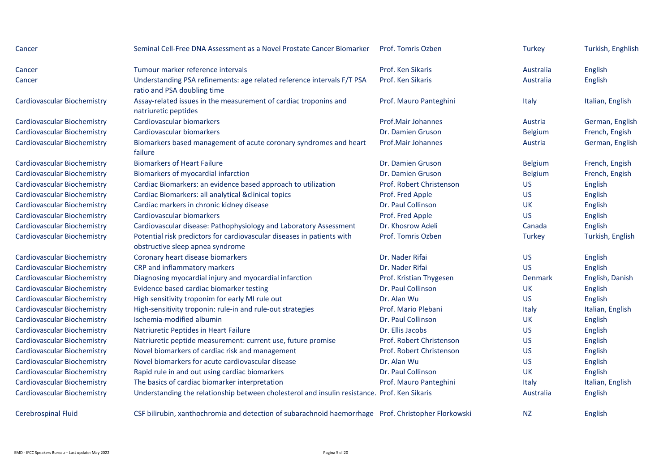| Cancer                             | Seminal Cell-Free DNA Assessment as a Novel Prostate Cancer Biomarker                                      | Prof. Tomris Ozben        | <b>Turkey</b>  | Turkish, Enghlish |
|------------------------------------|------------------------------------------------------------------------------------------------------------|---------------------------|----------------|-------------------|
| Cancer                             | Tumour marker reference intervals                                                                          | Prof. Ken Sikaris         | Australia      | English           |
| Cancer                             | Understanding PSA refinements: age related reference intervals F/T PSA<br>ratio and PSA doubling time      | Prof. Ken Sikaris         | Australia      | English           |
| Cardiovascular Biochemistry        | Assay-related issues in the measurement of cardiac troponins and<br>natriuretic peptides                   | Prof. Mauro Panteghini    | Italy          | Italian, English  |
| Cardiovascular Biochemistry        | Cardiovascular biomarkers                                                                                  | <b>Prof.Mair Johannes</b> | Austria        | German, English   |
| <b>Cardiovascular Biochemistry</b> | Cardiovascular biomarkers                                                                                  | Dr. Damien Gruson         | <b>Belgium</b> | French, Engish    |
| <b>Cardiovascular Biochemistry</b> | Biomarkers based management of acute coronary syndromes and heart<br>failure                               | Prof.Mair Johannes        | Austria        | German, English   |
| Cardiovascular Biochemistry        | <b>Biomarkers of Heart Failure</b>                                                                         | Dr. Damien Gruson         | <b>Belgium</b> | French, Engish    |
| Cardiovascular Biochemistry        | Biomarkers of myocardial infarction                                                                        | Dr. Damien Gruson         | <b>Belgium</b> | French, Engish    |
| Cardiovascular Biochemistry        | Cardiac Biomarkers: an evidence based approach to utilization                                              | Prof. Robert Christenson  | <b>US</b>      | English           |
| Cardiovascular Biochemistry        | Cardiac Biomarkers: all analytical &clinical topics                                                        | Prof. Fred Apple          | <b>US</b>      | English           |
| Cardiovascular Biochemistry        | Cardiac markers in chronic kidney disease                                                                  | Dr. Paul Collinson        | <b>UK</b>      | English           |
| Cardiovascular Biochemistry        | Cardiovascular biomarkers                                                                                  | Prof. Fred Apple          | <b>US</b>      | English           |
| <b>Cardiovascular Biochemistry</b> | Cardiovascular disease: Pathophysiology and Laboratory Assessment                                          | Dr. Khosrow Adeli         | Canada         | English           |
| Cardiovascular Biochemistry        | Potential risk predictors for cardiovascular diseases in patients with<br>obstructive sleep apnea syndrome | Prof. Tomris Ozben        | Turkey         | Turkish, English  |
| Cardiovascular Biochemistry        | Coronary heart disease biomarkers                                                                          | Dr. Nader Rifai           | <b>US</b>      | English           |
| Cardiovascular Biochemistry        | CRP and inflammatory markers                                                                               | Dr. Nader Rifai           | <b>US</b>      | English           |
| Cardiovascular Biochemistry        | Diagnosing myocardial injury and myocardial infarction                                                     | Prof. Kristian Thygesen   | <b>Denmark</b> | English, Danish   |
| Cardiovascular Biochemistry        | Evidence based cardiac biomarker testing                                                                   | Dr. Paul Collinson        | <b>UK</b>      | English           |
| Cardiovascular Biochemistry        | High sensitivity troponim for early MI rule out                                                            | Dr. Alan Wu               | <b>US</b>      | English           |
| Cardiovascular Biochemistry        | High-sensitivity troponin: rule-in and rule-out strategies                                                 | Prof. Mario Plebani       | Italy          | Italian, English  |
| Cardiovascular Biochemistry        | Ischemia-modified albumin                                                                                  | Dr. Paul Collinson        | <b>UK</b>      | English           |
| Cardiovascular Biochemistry        | Natriuretic Peptides in Heart Failure                                                                      | Dr. Ellis Jacobs          | <b>US</b>      | English           |
| Cardiovascular Biochemistry        | Natriuretic peptide measurement: current use, future promise                                               | Prof. Robert Christenson  | <b>US</b>      | English           |
| Cardiovascular Biochemistry        | Novel biomarkers of cardiac risk and management                                                            | Prof. Robert Christenson  | <b>US</b>      | English           |
| <b>Cardiovascular Biochemistry</b> | Novel biomarkers for acute cardiovascular disease                                                          | Dr. Alan Wu               | <b>US</b>      | English           |
| Cardiovascular Biochemistry        | Rapid rule in and out using cardiac biomarkers                                                             | Dr. Paul Collinson        | <b>UK</b>      | English           |
| <b>Cardiovascular Biochemistry</b> | The basics of cardiac biomarker interpretation                                                             | Prof. Mauro Panteghini    | Italy          | Italian, English  |
| Cardiovascular Biochemistry        | Understanding the relationship between cholesterol and insulin resistance. Prof. Ken Sikaris               |                           | Australia      | English           |
| <b>Cerebrospinal Fluid</b>         | CSF bilirubin, xanthochromia and detection of subarachnoid haemorrhage Prof. Christopher Florkowski        |                           | <b>NZ</b>      | English           |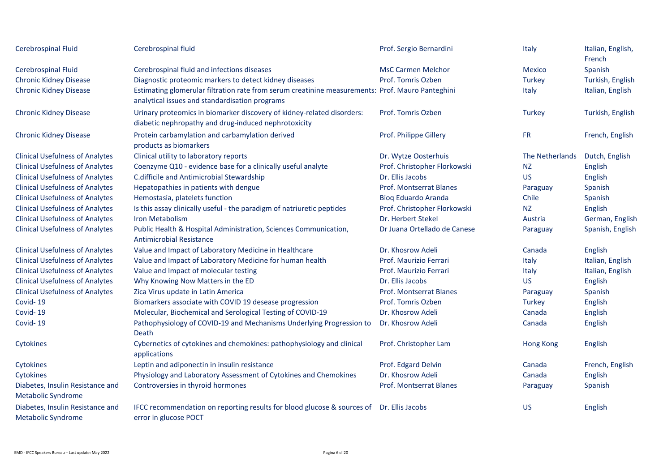| Cerebrospinal Fluid                                           | Cerebrospinal fluid                                                                                                                                | Prof. Sergio Bernardini        | Italy           | Italian, English,<br>French |
|---------------------------------------------------------------|----------------------------------------------------------------------------------------------------------------------------------------------------|--------------------------------|-----------------|-----------------------------|
| Cerebrospinal Fluid                                           | Cerebrospinal fluid and infections diseases                                                                                                        | <b>MsC Carmen Melchor</b>      | Mexico          | Spanish                     |
| <b>Chronic Kidney Disease</b>                                 | Diagnostic proteomic markers to detect kidney diseases                                                                                             | Prof. Tomris Ozben             | <b>Turkey</b>   | Turkish, English            |
| <b>Chronic Kidney Disease</b>                                 | Estimating glomerular filtration rate from serum creatinine measurements: Prof. Mauro Panteghini<br>analytical issues and standardisation programs |                                | Italy           | Italian, English            |
| <b>Chronic Kidney Disease</b>                                 | Urinary proteomics in biomarker discovery of kidney-related disorders:<br>diabetic nephropathy and drug-induced nephrotoxicity                     | Prof. Tomris Ozben             | <b>Turkey</b>   | Turkish, English            |
| <b>Chronic Kidney Disease</b>                                 | Protein carbamylation and carbamylation derived<br>products as biomarkers                                                                          | Prof. Philippe Gillery         | <b>FR</b>       | French, English             |
| <b>Clinical Usefulness of Analytes</b>                        | Clinical utility to laboratory reports                                                                                                             | Dr. Wytze Oosterhuis           | The Netherlands | Dutch, English              |
| <b>Clinical Usefulness of Analytes</b>                        | Coenzyme Q10 - evidence base for a clinically useful analyte                                                                                       | Prof. Christopher Florkowski   | <b>NZ</b>       | English                     |
| <b>Clinical Usefulness of Analytes</b>                        | C.difficile and Antimicrobial Stewardship                                                                                                          | Dr. Ellis Jacobs               | <b>US</b>       | English                     |
| <b>Clinical Usefulness of Analytes</b>                        | Hepatopathies in patients with dengue                                                                                                              | <b>Prof. Montserrat Blanes</b> | Paraguay        | Spanish                     |
| <b>Clinical Usefulness of Analytes</b>                        | Hemostasia, platelets function                                                                                                                     | <b>Bioq Eduardo Aranda</b>     | Chile           | Spanish                     |
| <b>Clinical Usefulness of Analytes</b>                        | Is this assay clinically useful - the paradigm of natriuretic peptides                                                                             | Prof. Christopher Florkowski   | <b>NZ</b>       | English                     |
| <b>Clinical Usefulness of Analytes</b>                        | Iron Metabolism                                                                                                                                    | Dr. Herbert Stekel             | Austria         | German, English             |
| <b>Clinical Usefulness of Analytes</b>                        | Public Health & Hospital Administration, Sciences Communication,<br><b>Antimicrobial Resistance</b>                                                | Dr Juana Ortellado de Canese   | Paraguay        | Spanish, English            |
| <b>Clinical Usefulness of Analytes</b>                        | Value and Impact of Laboratory Medicine in Healthcare                                                                                              | Dr. Khosrow Adeli              | Canada          | English                     |
| <b>Clinical Usefulness of Analytes</b>                        | Value and Impact of Laboratory Medicine for human health                                                                                           | Prof. Maurizio Ferrari         | Italy           | Italian, English            |
| <b>Clinical Usefulness of Analytes</b>                        | Value and Impact of molecular testing                                                                                                              | Prof. Maurizio Ferrari         | Italy           | Italian, English            |
| <b>Clinical Usefulness of Analytes</b>                        | Why Knowing Now Matters in the ED                                                                                                                  | Dr. Ellis Jacobs               | <b>US</b>       | English                     |
| <b>Clinical Usefulness of Analytes</b>                        | Zica Virus update in Latin America                                                                                                                 | Prof. Montserrat Blanes        | Paraguay        | Spanish                     |
| Covid-19                                                      | Biomarkers associate with COVID 19 desease progression                                                                                             | Prof. Tomris Ozben             | <b>Turkey</b>   | English                     |
| Covid-19                                                      | Molecular, Biochemical and Serological Testing of COVID-19                                                                                         | Dr. Khosrow Adeli              | Canada          | English                     |
| Covid-19                                                      | Pathophysiology of COVID-19 and Mechanisms Underlying Progression to<br>Death                                                                      | Dr. Khosrow Adeli              | Canada          | English                     |
| Cytokines                                                     | Cybernetics of cytokines and chemokines: pathophysiology and clinical<br>applications                                                              | Prof. Christopher Lam          | Hong Kong       | English                     |
| Cytokines                                                     | Leptin and adiponectin in insulin resistance                                                                                                       | Prof. Edgard Delvin            | Canada          | French, English             |
| Cytokines                                                     | Physiology and Laboratory Assessment of Cytokines and Chemokines                                                                                   | Dr. Khosrow Adeli              | Canada          | English                     |
| Diabetes, Insulin Resistance and<br><b>Metabolic Syndrome</b> | Controversies in thyroid hormones                                                                                                                  | <b>Prof. Montserrat Blanes</b> | Paraguay        | Spanish                     |
| Diabetes, Insulin Resistance and<br><b>Metabolic Syndrome</b> | IFCC recommendation on reporting results for blood glucose & sources of Dr. Ellis Jacobs<br>error in glucose POCT                                  |                                | <b>US</b>       | English                     |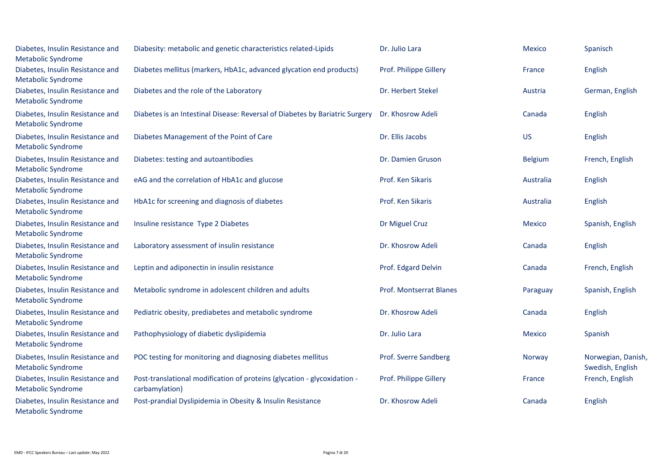| Diabetes, Insulin Resistance and<br><b>Metabolic Syndrome</b> | Diabesity: metabolic and genetic characteristics related-Lipids                            | Dr. Julio Lara                 | <b>Mexico</b>  | Spanisch                               |
|---------------------------------------------------------------|--------------------------------------------------------------------------------------------|--------------------------------|----------------|----------------------------------------|
| Diabetes, Insulin Resistance and<br><b>Metabolic Syndrome</b> | Diabetes mellitus (markers, HbA1c, advanced glycation end products)                        | Prof. Philippe Gillery         | France         | English                                |
| Diabetes, Insulin Resistance and<br><b>Metabolic Syndrome</b> | Diabetes and the role of the Laboratory                                                    | Dr. Herbert Stekel             | Austria        | German, English                        |
| Diabetes, Insulin Resistance and<br><b>Metabolic Syndrome</b> | Diabetes is an Intestinal Disease: Reversal of Diabetes by Bariatric Surgery               | Dr. Khosrow Adeli              | Canada         | English                                |
| Diabetes, Insulin Resistance and<br><b>Metabolic Syndrome</b> | Diabetes Management of the Point of Care                                                   | Dr. Ellis Jacobs               | <b>US</b>      | English                                |
| Diabetes, Insulin Resistance and<br><b>Metabolic Syndrome</b> | Diabetes: testing and autoantibodies                                                       | Dr. Damien Gruson              | <b>Belgium</b> | French, English                        |
| Diabetes, Insulin Resistance and<br><b>Metabolic Syndrome</b> | eAG and the correlation of HbA1c and glucose                                               | Prof. Ken Sikaris              | Australia      | English                                |
| Diabetes, Insulin Resistance and<br><b>Metabolic Syndrome</b> | HbA1c for screening and diagnosis of diabetes                                              | Prof. Ken Sikaris              | Australia      | English                                |
| Diabetes, Insulin Resistance and<br><b>Metabolic Syndrome</b> | Insuline resistance Type 2 Diabetes                                                        | Dr Miguel Cruz                 | Mexico         | Spanish, English                       |
| Diabetes, Insulin Resistance and<br><b>Metabolic Syndrome</b> | Laboratory assessment of insulin resistance                                                | Dr. Khosrow Adeli              | Canada         | English                                |
| Diabetes, Insulin Resistance and<br><b>Metabolic Syndrome</b> | Leptin and adiponectin in insulin resistance                                               | Prof. Edgard Delvin            | Canada         | French, English                        |
| Diabetes, Insulin Resistance and<br><b>Metabolic Syndrome</b> | Metabolic syndrome in adolescent children and adults                                       | <b>Prof. Montserrat Blanes</b> | Paraguay       | Spanish, English                       |
| Diabetes, Insulin Resistance and<br><b>Metabolic Syndrome</b> | Pediatric obesity, prediabetes and metabolic syndrome                                      | Dr. Khosrow Adeli              | Canada         | English                                |
| Diabetes, Insulin Resistance and<br><b>Metabolic Syndrome</b> | Pathophysiology of diabetic dyslipidemia                                                   | Dr. Julio Lara                 | <b>Mexico</b>  | Spanish                                |
| Diabetes, Insulin Resistance and<br><b>Metabolic Syndrome</b> | POC testing for monitoring and diagnosing diabetes mellitus                                | Prof. Sverre Sandberg          | Norway         | Norwegian, Danish,<br>Swedish, English |
| Diabetes, Insulin Resistance and<br><b>Metabolic Syndrome</b> | Post-translational modification of proteins (glycation - glycoxidation -<br>carbamylation) | Prof. Philippe Gillery         | France         | French, English                        |
| Diabetes, Insulin Resistance and<br><b>Metabolic Syndrome</b> | Post-prandial Dyslipidemia in Obesity & Insulin Resistance                                 | Dr. Khosrow Adeli              | Canada         | English                                |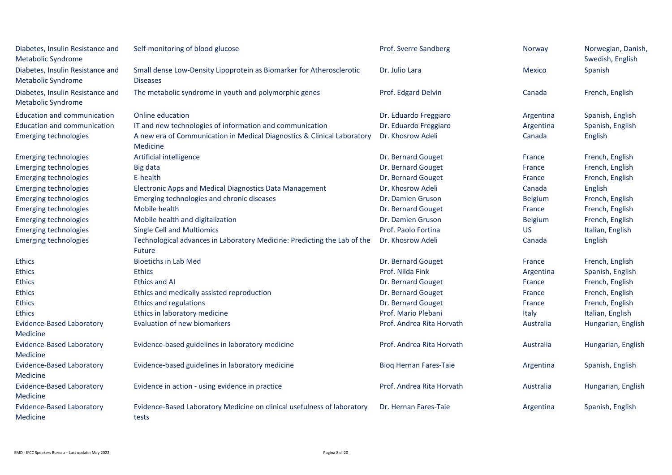| Diabetes, Insulin Resistance and<br><b>Metabolic Syndrome</b> | Self-monitoring of blood glucose                                                          | Prof. Sverre Sandberg         | Norway         | Norwegian, Danish,<br>Swedish, English |
|---------------------------------------------------------------|-------------------------------------------------------------------------------------------|-------------------------------|----------------|----------------------------------------|
| Diabetes, Insulin Resistance and<br><b>Metabolic Syndrome</b> | Small dense Low-Density Lipoprotein as Biomarker for Atherosclerotic<br><b>Diseases</b>   | Dr. Julio Lara                | <b>Mexico</b>  | Spanish                                |
| Diabetes, Insulin Resistance and<br><b>Metabolic Syndrome</b> | The metabolic syndrome in youth and polymorphic genes                                     | Prof. Edgard Delvin           | Canada         | French, English                        |
| <b>Education and communication</b>                            | Online education                                                                          | Dr. Eduardo Freggiaro         | Argentina      | Spanish, English                       |
| <b>Education and communication</b>                            | IT and new technologies of information and communication                                  | Dr. Eduardo Freggiaro         | Argentina      | Spanish, English                       |
| <b>Emerging technologies</b>                                  | A new era of Communication in Medical Diagnostics & Clinical Laboratory<br>Medicine       | Dr. Khosrow Adeli             | Canada         | English                                |
| <b>Emerging technologies</b>                                  | Artificial intelligence                                                                   | Dr. Bernard Gouget            | France         | French, English                        |
| <b>Emerging technologies</b>                                  | Big data                                                                                  | Dr. Bernard Gouget            | <b>France</b>  | French, English                        |
| <b>Emerging technologies</b>                                  | E-health                                                                                  | Dr. Bernard Gouget            | <b>France</b>  | French, English                        |
| <b>Emerging technologies</b>                                  | Electronic Apps and Medical Diagnostics Data Management                                   | Dr. Khosrow Adeli             | Canada         | English                                |
| <b>Emerging technologies</b>                                  | Emerging technologies and chronic diseases                                                | Dr. Damien Gruson             | <b>Belgium</b> | French, English                        |
| <b>Emerging technologies</b>                                  | Mobile health                                                                             | Dr. Bernard Gouget            | France         | French, English                        |
| <b>Emerging technologies</b>                                  | Mobile health and digitalization                                                          | Dr. Damien Gruson             | <b>Belgium</b> | French, English                        |
| <b>Emerging technologies</b>                                  | <b>Single Cell and Multiomics</b>                                                         | Prof. Paolo Fortina           | US             | Italian, English                       |
| <b>Emerging technologies</b>                                  | Technological advances in Laboratory Medicine: Predicting the Lab of the<br><b>Future</b> | Dr. Khosrow Adeli             | Canada         | English                                |
| <b>Ethics</b>                                                 | <b>Bioetichs in Lab Med</b>                                                               | Dr. Bernard Gouget            | <b>France</b>  | French, English                        |
| <b>Ethics</b>                                                 | <b>Ethics</b>                                                                             | Prof. Nilda Fink              | Argentina      | Spanish, English                       |
| <b>Ethics</b>                                                 | <b>Ethics and AI</b>                                                                      | Dr. Bernard Gouget            | <b>France</b>  | French, English                        |
| <b>Ethics</b>                                                 | Ethics and medically assisted reproduction                                                | Dr. Bernard Gouget            | <b>France</b>  | French, English                        |
| <b>Ethics</b>                                                 | Ethics and regulations                                                                    | Dr. Bernard Gouget            | <b>France</b>  | French, English                        |
| <b>Ethics</b>                                                 | Ethics in laboratory medicine                                                             | Prof. Mario Plebani           | Italy          | Italian, English                       |
| <b>Evidence-Based Laboratory</b>                              | <b>Evaluation of new biomarkers</b>                                                       | Prof. Andrea Rita Horvath     | Australia      | Hungarian, English                     |
| Medicine                                                      |                                                                                           |                               |                |                                        |
| <b>Evidence-Based Laboratory</b>                              | Evidence-based guidelines in laboratory medicine                                          | Prof. Andrea Rita Horvath     | Australia      | Hungarian, English                     |
| <b>Medicine</b>                                               |                                                                                           |                               |                |                                        |
| <b>Evidence-Based Laboratory</b>                              | Evidence-based guidelines in laboratory medicine                                          | <b>Bioq Hernan Fares-Taie</b> | Argentina      | Spanish, English                       |
| Medicine                                                      |                                                                                           |                               |                |                                        |
| <b>Evidence-Based Laboratory</b><br>Medicine                  | Evidence in action - using evidence in practice                                           | Prof. Andrea Rita Horvath     | Australia      | Hungarian, English                     |
| <b>Evidence-Based Laboratory</b><br><b>Medicine</b>           | Evidence-Based Laboratory Medicine on clinical usefulness of laboratory<br>tests          | Dr. Hernan Fares-Taie         | Argentina      | Spanish, English                       |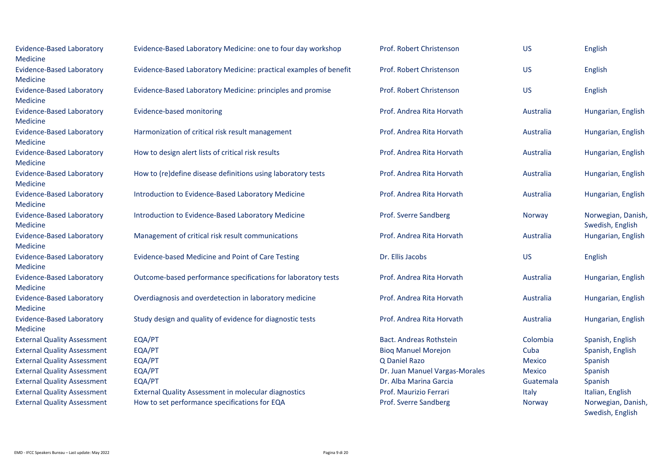| <b>Evidence-Based Laboratory</b><br>Medicine        | Evidence-Based Laboratory Medicine: one to four day workshop      | Prof. Robert Christenson       | <b>US</b>     | English                                |
|-----------------------------------------------------|-------------------------------------------------------------------|--------------------------------|---------------|----------------------------------------|
| <b>Evidence-Based Laboratory</b><br>Medicine        | Evidence-Based Laboratory Medicine: practical examples of benefit | Prof. Robert Christenson       | <b>US</b>     | English                                |
| <b>Evidence-Based Laboratory</b><br><b>Medicine</b> | Evidence-Based Laboratory Medicine: principles and promise        | Prof. Robert Christenson       | <b>US</b>     | English                                |
| <b>Evidence-Based Laboratory</b><br>Medicine        | Evidence-based monitoring                                         | Prof. Andrea Rita Horvath      | Australia     | Hungarian, English                     |
| <b>Evidence-Based Laboratory</b><br>Medicine        | Harmonization of critical risk result management                  | Prof. Andrea Rita Horvath      | Australia     | Hungarian, English                     |
| <b>Evidence-Based Laboratory</b><br>Medicine        | How to design alert lists of critical risk results                | Prof. Andrea Rita Horvath      | Australia     | Hungarian, English                     |
| <b>Evidence-Based Laboratory</b><br>Medicine        | How to (re)define disease definitions using laboratory tests      | Prof. Andrea Rita Horvath      | Australia     | Hungarian, English                     |
| <b>Evidence-Based Laboratory</b><br>Medicine        | Introduction to Evidence-Based Laboratory Medicine                | Prof. Andrea Rita Horvath      | Australia     | Hungarian, English                     |
| <b>Evidence-Based Laboratory</b><br>Medicine        | Introduction to Evidence-Based Laboratory Medicine                | Prof. Sverre Sandberg          | Norway        | Norwegian, Danish,<br>Swedish, English |
| <b>Evidence-Based Laboratory</b><br>Medicine        | Management of critical risk result communications                 | Prof. Andrea Rita Horvath      | Australia     | Hungarian, English                     |
| <b>Evidence-Based Laboratory</b><br>Medicine        | Evidence-based Medicine and Point of Care Testing                 | Dr. Ellis Jacobs               | <b>US</b>     | English                                |
| <b>Evidence-Based Laboratory</b><br>Medicine        | Outcome-based performance specifications for laboratory tests     | Prof. Andrea Rita Horvath      | Australia     | Hungarian, English                     |
| <b>Evidence-Based Laboratory</b><br><b>Medicine</b> | Overdiagnosis and overdetection in laboratory medicine            | Prof. Andrea Rita Horvath      | Australia     | Hungarian, English                     |
| <b>Evidence-Based Laboratory</b><br>Medicine        | Study design and quality of evidence for diagnostic tests         | Prof. Andrea Rita Horvath      | Australia     | Hungarian, English                     |
| <b>External Quality Assessment</b>                  | EQA/PT                                                            | Bact. Andreas Rothstein        | Colombia      | Spanish, English                       |
| <b>External Quality Assessment</b>                  | EQA/PT                                                            | <b>Bioq Manuel Morejon</b>     | Cuba          | Spanish, English                       |
| <b>External Quality Assessment</b>                  | EQA/PT                                                            | Q Daniel Razo                  | <b>Mexico</b> | Spanish                                |
| <b>External Quality Assessment</b>                  | EQA/PT                                                            | Dr. Juan Manuel Vargas-Morales | <b>Mexico</b> | Spanish                                |
| <b>External Quality Assessment</b>                  | EQA/PT                                                            | Dr. Alba Marina Garcia         | Guatemala     | Spanish                                |
| <b>External Quality Assessment</b>                  | <b>External Quality Assessment in molecular diagnostics</b>       | Prof. Maurizio Ferrari         | Italy         | Italian, English                       |
| <b>External Quality Assessment</b>                  | How to set performance specifications for EQA                     | Prof. Sverre Sandberg          | Norway        | Norwegian, Danish,<br>Swedish, English |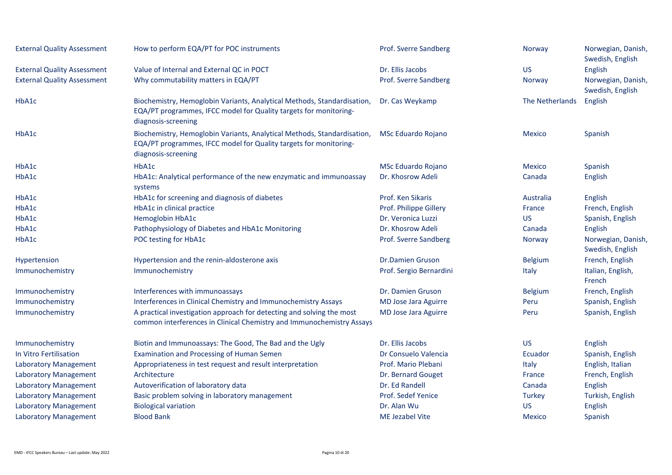| <b>External Quality Assessment</b> | How to perform EQA/PT for POC instruments                                                                                                                           | Prof. Sverre Sandberg       | Norway          | Norwegian, Danish,<br>Swedish, English |
|------------------------------------|---------------------------------------------------------------------------------------------------------------------------------------------------------------------|-----------------------------|-----------------|----------------------------------------|
| <b>External Quality Assessment</b> | Value of Internal and External QC in POCT                                                                                                                           | Dr. Ellis Jacobs            | <b>US</b>       | English                                |
| <b>External Quality Assessment</b> | Why commutability matters in EQA/PT                                                                                                                                 | Prof. Sverre Sandberg       | Norway          | Norwegian, Danish,<br>Swedish, English |
| HbA1c                              | Biochemistry, Hemoglobin Variants, Analytical Methods, Standardisation,<br>EQA/PT programmes, IFCC model for Quality targets for monitoring-<br>diagnosis-screening | Dr. Cas Weykamp             | The Netherlands | English                                |
| HbA1c                              | Biochemistry, Hemoglobin Variants, Analytical Methods, Standardisation,<br>EQA/PT programmes, IFCC model for Quality targets for monitoring-<br>diagnosis-screening | MSc Eduardo Rojano          | <b>Mexico</b>   | Spanish                                |
| HbA1c                              | HbA1c                                                                                                                                                               | MSc Eduardo Rojano          | <b>Mexico</b>   | Spanish                                |
| HbA1c                              | HbA1c: Analytical performance of the new enzymatic and immunoassay<br>systems                                                                                       | Dr. Khosrow Adeli           | Canada          | English                                |
| HbA1c                              | HbA1c for screening and diagnosis of diabetes                                                                                                                       | Prof. Ken Sikaris           | Australia       | English                                |
| HbA1c                              | HbA1c in clinical practice                                                                                                                                          | Prof. Philippe Gillery      | France          | French, English                        |
| HbA1c                              | Hemoglobin HbA1c                                                                                                                                                    | Dr. Veronica Luzzi          | <b>US</b>       | Spanish, English                       |
| HbA1c                              | Pathophysiology of Diabetes and HbA1c Monitoring                                                                                                                    | Dr. Khosrow Adeli           | Canada          | English                                |
| HbA1c                              | POC testing for HbA1c                                                                                                                                               | Prof. Sverre Sandberg       | <b>Norway</b>   | Norwegian, Danish,<br>Swedish, English |
| Hypertension                       | Hypertension and the renin-aldosterone axis                                                                                                                         | <b>Dr.Damien Gruson</b>     | <b>Belgium</b>  | French, English                        |
| Immunochemistry                    | Immunochemistry                                                                                                                                                     | Prof. Sergio Bernardini     | Italy           | Italian, English,<br>French            |
| Immunochemistry                    | Interferences with immunoassays                                                                                                                                     | Dr. Damien Gruson           | <b>Belgium</b>  | French, English                        |
| Immunochemistry                    | Interferences in Clinical Chemistry and Immunochemistry Assays                                                                                                      | <b>MD Jose Jara Aguirre</b> | Peru            | Spanish, English                       |
| Immunochemistry                    | A practical investigation approach for detecting and solving the most<br>common interferences in Clinical Chemistry and Immunochemistry Assays                      | <b>MD Jose Jara Aguirre</b> | Peru            | Spanish, English                       |
| Immunochemistry                    | Biotin and Immunoassays: The Good, The Bad and the Ugly                                                                                                             | Dr. Ellis Jacobs            | <b>US</b>       | English                                |
| In Vitro Fertilisation             | Examination and Processing of Human Semen                                                                                                                           | Dr Consuelo Valencia        | Ecuador         | Spanish, English                       |
| <b>Laboratory Management</b>       | Appropriateness in test request and result interpretation                                                                                                           | Prof. Mario Plebani         | Italy           | English, Italian                       |
| <b>Laboratory Management</b>       | Architecture                                                                                                                                                        | Dr. Bernard Gouget          | France          | French, English                        |
| <b>Laboratory Management</b>       | Autoverification of laboratory data                                                                                                                                 | Dr. Ed Randell              | Canada          | English                                |
| <b>Laboratory Management</b>       | Basic problem solving in laboratory management                                                                                                                      | Prof. Sedef Yenice          | <b>Turkey</b>   | Turkish, English                       |
| <b>Laboratory Management</b>       | <b>Biological variation</b>                                                                                                                                         | Dr. Alan Wu                 | <b>US</b>       | English                                |
| <b>Laboratory Management</b>       | <b>Blood Bank</b>                                                                                                                                                   | <b>ME Jezabel Vite</b>      | <b>Mexico</b>   | Spanish                                |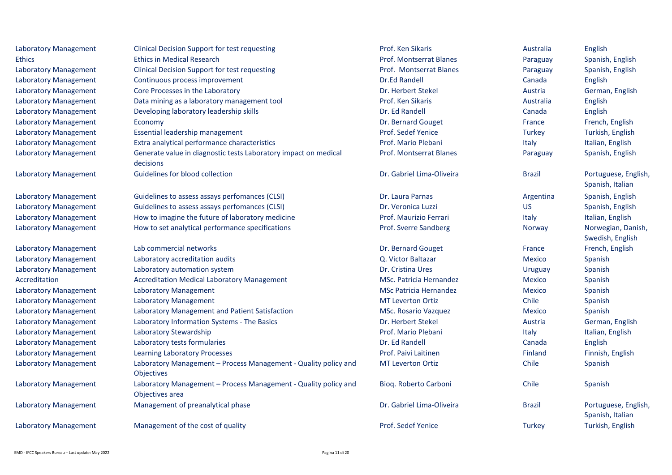| <b>Laboratory Management</b> | <b>Clinical Decision Support for test requesting</b>                               | Prof. Ken Sikaris              | Australia     | English                                  |
|------------------------------|------------------------------------------------------------------------------------|--------------------------------|---------------|------------------------------------------|
| <b>Ethics</b>                | <b>Ethics in Medical Research</b>                                                  | Prof. Montserrat Blanes        | Paraguay      | Spanish, English                         |
| <b>Laboratory Management</b> | <b>Clinical Decision Support for test requesting</b>                               | Prof. Montserrat Blanes        | Paraguay      | Spanish, English                         |
| <b>Laboratory Management</b> | Continuous process improvement                                                     | Dr.Ed Randell                  | Canada        | English                                  |
| <b>Laboratory Management</b> | Core Processes in the Laboratory                                                   | Dr. Herbert Stekel             | Austria       | German, English                          |
| <b>Laboratory Management</b> | Data mining as a laboratory management tool                                        | Prof. Ken Sikaris              | Australia     | English                                  |
| <b>Laboratory Management</b> | Developing laboratory leadership skills                                            | Dr. Ed Randell                 | Canada        | English                                  |
| <b>Laboratory Management</b> | Economy                                                                            | Dr. Bernard Gouget             | France        | French, English                          |
| <b>Laboratory Management</b> | Essential leadership management                                                    | Prof. Sedef Yenice             | Turkey        | Turkish, English                         |
| <b>Laboratory Management</b> | Extra analytical performance characteristics                                       | Prof. Mario Plebani            | Italy         | Italian, English                         |
| <b>Laboratory Management</b> | Generate value in diagnostic tests Laboratory impact on medical<br>decisions       | <b>Prof. Montserrat Blanes</b> | Paraguay      | Spanish, English                         |
| <b>Laboratory Management</b> | Guidelines for blood collection                                                    | Dr. Gabriel Lima-Oliveira      | <b>Brazil</b> | Portuguese, English,<br>Spanish, Italian |
| <b>Laboratory Management</b> | Guidelines to assess assays perfomances (CLSI)                                     | Dr. Laura Parnas               | Argentina     | Spanish, English                         |
| <b>Laboratory Management</b> | Guidelines to assess assays perfomances (CLSI)                                     | Dr. Veronica Luzzi             | <b>US</b>     | Spanish, English                         |
| <b>Laboratory Management</b> | How to imagine the future of laboratory medicine                                   | Prof. Maurizio Ferrari         | Italy         | Italian, English                         |
| <b>Laboratory Management</b> | How to set analytical performance specifications                                   | Prof. Sverre Sandberg          | Norway        | Norwegian, Danish,<br>Swedish, English   |
| <b>Laboratory Management</b> | Lab commercial networks                                                            | Dr. Bernard Gouget             | France        | French, English                          |
| <b>Laboratory Management</b> | Laboratory accreditation audits                                                    | Q. Victor Baltazar             | Mexico        | Spanish                                  |
| <b>Laboratory Management</b> | Laboratory automation system                                                       | Dr. Cristina Ures              | Uruguay       | Spanish                                  |
| Accreditation                | <b>Accreditation Medical Laboratory Management</b>                                 | <b>MSc. Patricia Hernandez</b> | <b>Mexico</b> | Spanish                                  |
| <b>Laboratory Management</b> | <b>Laboratory Management</b>                                                       | <b>MSc Patricia Hernandez</b>  | <b>Mexico</b> | Spanish                                  |
| <b>Laboratory Management</b> | <b>Laboratory Management</b>                                                       | <b>MT Leverton Ortiz</b>       | Chile         | Spanish                                  |
| <b>Laboratory Management</b> | Laboratory Management and Patient Satisfaction                                     | MSc. Rosario Vazquez           | <b>Mexico</b> | Spanish                                  |
| <b>Laboratory Management</b> | Laboratory Information Systems - The Basics                                        | Dr. Herbert Stekel             | Austria       | German, English                          |
| <b>Laboratory Management</b> | Laboratory Stewardship                                                             | Prof. Mario Plebani            | Italy         | Italian, English                         |
| <b>Laboratory Management</b> | Laboratory tests formularies                                                       | Dr. Ed Randell                 | Canada        | English                                  |
| <b>Laboratory Management</b> | <b>Learning Laboratory Processes</b>                                               | Prof. Paivi Laitinen           | Finland       | Finnish, English                         |
| <b>Laboratory Management</b> | Laboratory Management - Process Management - Quality policy and<br>Objectives      | <b>MT Leverton Ortiz</b>       | Chile         | Spanish                                  |
| <b>Laboratory Management</b> | Laboratory Management - Process Management - Quality policy and<br>Objectives area | Bioq. Roberto Carboni          | Chile         | Spanish                                  |
| <b>Laboratory Management</b> | Management of preanalytical phase                                                  | Dr. Gabriel Lima-Oliveira      | <b>Brazil</b> | Portuguese, English,<br>Spanish, Italian |
| <b>Laboratory Management</b> | Management of the cost of quality                                                  | Prof. Sedef Yenice             | Turkey        | Turkish, English                         |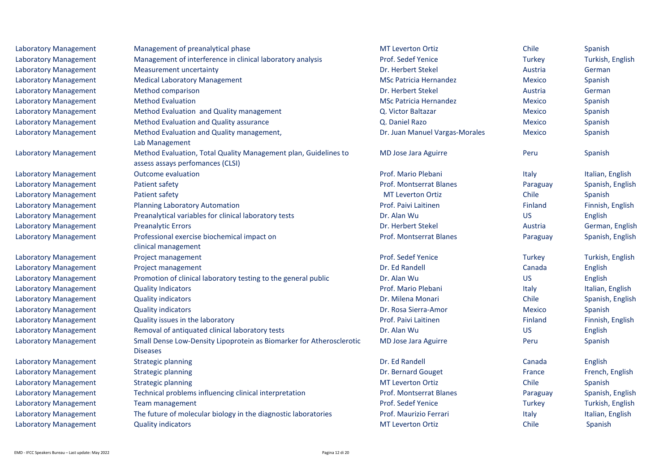| Laboratory Management        | Management of preanalytical phase                                                                   | <b>MT Leverton Ortiz</b>       | Chile         | Spanish          |
|------------------------------|-----------------------------------------------------------------------------------------------------|--------------------------------|---------------|------------------|
| <b>Laboratory Management</b> | Management of interference in clinical laboratory analysis                                          | Prof. Sedef Yenice             | <b>Turkey</b> | Turkish, English |
| <b>Laboratory Management</b> | <b>Measurement uncertainty</b>                                                                      | Dr. Herbert Stekel             | Austria       | German           |
| <b>Laboratory Management</b> | <b>Medical Laboratory Management</b>                                                                | <b>MSc Patricia Hernandez</b>  | <b>Mexico</b> | Spanish          |
| Laboratory Management        | Method comparison                                                                                   | Dr. Herbert Stekel             | Austria       | German           |
| <b>Laboratory Management</b> | <b>Method Evaluation</b>                                                                            | <b>MSc Patricia Hernandez</b>  | Mexico        | Spanish          |
| Laboratory Management        | Method Evaluation and Quality management                                                            | Q. Victor Baltazar             | <b>Mexico</b> | Spanish          |
| Laboratory Management        | Method Evaluation and Quality assurance                                                             | Q. Daniel Razo                 | <b>Mexico</b> | Spanish          |
| <b>Laboratory Management</b> | Method Evaluation and Quality management,<br>Lab Management                                         | Dr. Juan Manuel Vargas-Morales | Mexico        | Spanish          |
| Laboratory Management        | Method Evaluation, Total Quality Management plan, Guidelines to<br>assess assays perfomances (CLSI) | MD Jose Jara Aguirre           | Peru          | Spanish          |
| Laboratory Management        | <b>Outcome evaluation</b>                                                                           | Prof. Mario Plebani            | Italy         | Italian, English |
| Laboratory Management        | Patient safety                                                                                      | Prof. Montserrat Blanes        | Paraguay      | Spanish, English |
| <b>Laboratory Management</b> | Patient safety                                                                                      | <b>MT Leverton Ortiz</b>       | Chile         | Spanish          |
| <b>Laboratory Management</b> | <b>Planning Laboratory Automation</b>                                                               | Prof. Paivi Laitinen           | Finland       | Finnish, English |
| Laboratory Management        | Preanalytical variables for clinical laboratory tests                                               | Dr. Alan Wu                    | US.           | English          |
| <b>Laboratory Management</b> | <b>Preanalytic Errors</b>                                                                           | Dr. Herbert Stekel             | Austria       | German, English  |
| <b>Laboratory Management</b> | Professional exercise biochemical impact on<br>clinical management                                  | Prof. Montserrat Blanes        | Paraguay      | Spanish, English |
| Laboratory Management        | Project management                                                                                  | Prof. Sedef Yenice             | <b>Turkey</b> | Turkish, English |
| <b>Laboratory Management</b> | Project management                                                                                  | Dr. Ed Randell                 | Canada        | English          |
| Laboratory Management        | Promotion of clinical laboratory testing to the general public                                      | Dr. Alan Wu                    | <b>US</b>     | English          |
| Laboratory Management        | <b>Quality Indicators</b>                                                                           | Prof. Mario Plebani            | Italy         | Italian, English |
| <b>Laboratory Management</b> | <b>Quality indicators</b>                                                                           | Dr. Milena Monari              | Chile         | Spanish, English |
| Laboratory Management        | <b>Quality indicators</b>                                                                           | Dr. Rosa Sierra-Amor           | Mexico        | Spanish          |
| <b>Laboratory Management</b> | Quality issues in the laboratory                                                                    | Prof. Paivi Laitinen           | Finland       | Finnish, English |
| Laboratory Management        | Removal of antiquated clinical laboratory tests                                                     | Dr. Alan Wu                    | US.           | English          |
| Laboratory Management        | Small Dense Low-Density Lipoprotein as Biomarker for Atherosclerotic<br><b>Diseases</b>             | MD Jose Jara Aguirre           | Peru          | Spanish          |
| <b>Laboratory Management</b> | <b>Strategic planning</b>                                                                           | Dr. Ed Randell                 | Canada        | English          |
| <b>Laboratory Management</b> | <b>Strategic planning</b>                                                                           | Dr. Bernard Gouget             | France        | French, English  |
| Laboratory Management        | <b>Strategic planning</b>                                                                           | <b>MT Leverton Ortiz</b>       | Chile         | Spanish          |
| <b>Laboratory Management</b> | Technical problems influencing clinical interpretation                                              | Prof. Montserrat Blanes        | Paraguay      | Spanish, English |
| Laboratory Management        | Team management                                                                                     | Prof. Sedef Yenice             | <b>Turkey</b> | Turkish, English |
| Laboratory Management        | The future of molecular biology in the diagnostic laboratories                                      | Prof. Maurizio Ferrari         | Italy         | Italian, English |
| Laboratory Management        | <b>Quality indicators</b>                                                                           | <b>MT Leverton Ortiz</b>       | Chile         | Spanish          |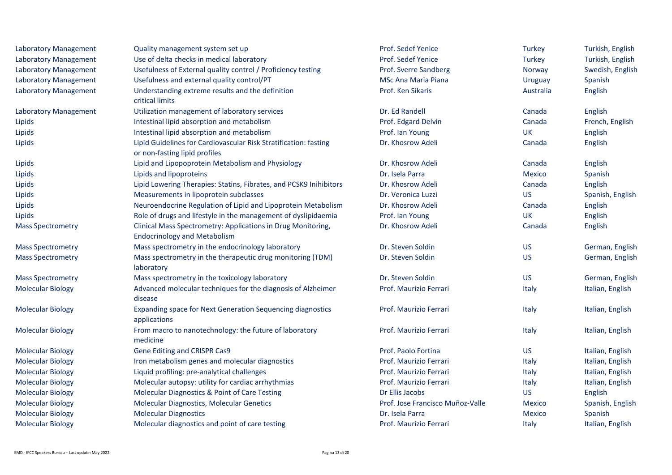| <b>Laboratory Management</b> | Quality management system set up                                                                    | Prof. Sedef Yenice               | <b>Turkey</b> | Turkish, English |
|------------------------------|-----------------------------------------------------------------------------------------------------|----------------------------------|---------------|------------------|
| <b>Laboratory Management</b> | Use of delta checks in medical laboratory                                                           | Prof. Sedef Yenice               | Turkey        | Turkish, English |
| <b>Laboratory Management</b> | Usefulness of External quality control / Proficiency testing                                        | Prof. Sverre Sandberg            | Norway        | Swedish, English |
| <b>Laboratory Management</b> | Usefulness and external quality control/PT                                                          | <b>MSc Ana Maria Piana</b>       | Uruguay       | Spanish          |
| <b>Laboratory Management</b> | Understanding extreme results and the definition<br>critical limits                                 | Prof. Ken Sikaris                | Australia     | English          |
| <b>Laboratory Management</b> | Utilization management of laboratory services                                                       | Dr. Ed Randell                   | Canada        | English          |
| Lipids                       | Intestinal lipid absorption and metabolism                                                          | Prof. Edgard Delvin              | Canada        | French, English  |
| Lipids                       | Intestinal lipid absorption and metabolism                                                          | Prof. Ian Young                  | <b>UK</b>     | English          |
| Lipids                       | Lipid Guidelines for Cardiovascular Risk Stratification: fasting<br>or non-fasting lipid profiles   | Dr. Khosrow Adeli                | Canada        | English          |
| Lipids                       | Lipid and Lipopoprotein Metabolism and Physiology                                                   | Dr. Khosrow Adeli                | Canada        | English          |
| Lipids                       | Lipids and lipoproteins                                                                             | Dr. Isela Parra                  | <b>Mexico</b> | Spanish          |
| Lipids                       | Lipid Lowering Therapies: Statins, Fibrates, and PCSK9 Inihibitors                                  | Dr. Khosrow Adeli                | Canada        | English          |
| Lipids                       | Measurements in lipoprotein subclasses                                                              | Dr. Veronica Luzzi               | <b>US</b>     | Spanish, English |
| Lipids                       | Neuroendocrine Regulation of Lipid and Lipoprotein Metabolism                                       | Dr. Khosrow Adeli                | Canada        | English          |
| Lipids                       | Role of drugs and lifestyle in the management of dyslipidaemia                                      | Prof. Ian Young                  | <b>UK</b>     | English          |
| <b>Mass Spectrometry</b>     | Clinical Mass Spectrometry: Applications in Drug Monitoring,<br><b>Endocrinology and Metabolism</b> | Dr. Khosrow Adeli                | Canada        | English          |
| <b>Mass Spectrometry</b>     | Mass spectrometry in the endocrinology laboratory                                                   | Dr. Steven Soldin                | <b>US</b>     | German, English  |
| <b>Mass Spectrometry</b>     | Mass spectrometry in the therapeutic drug monitoring (TDM)<br>laboratory                            | Dr. Steven Soldin                | <b>US</b>     | German, English  |
| <b>Mass Spectrometry</b>     | Mass spectrometry in the toxicology laboratory                                                      | Dr. Steven Soldin                | <b>US</b>     | German, English  |
| <b>Molecular Biology</b>     | Advanced molecular techniques for the diagnosis of Alzheimer<br>disease                             | Prof. Maurizio Ferrari           | Italy         | Italian, English |
| <b>Molecular Biology</b>     | <b>Expanding space for Next Generation Sequencing diagnostics</b><br>applications                   | Prof. Maurizio Ferrari           | Italy         | Italian, English |
| <b>Molecular Biology</b>     | From macro to nanotechnology: the future of laboratory<br>medicine                                  | Prof. Maurizio Ferrari           | Italy         | Italian, English |
| <b>Molecular Biology</b>     | Gene Editing and CRISPR Cas9                                                                        | Prof. Paolo Fortina              | <b>US</b>     | Italian, English |
| <b>Molecular Biology</b>     | Iron metabolism genes and molecular diagnostics                                                     | Prof. Maurizio Ferrari           | Italy         | Italian, English |
| <b>Molecular Biology</b>     | Liquid profiling: pre-analytical challenges                                                         | Prof. Maurizio Ferrari           | Italy         | Italian, English |
| <b>Molecular Biology</b>     | Molecular autopsy: utility for cardiac arrhythmias                                                  | Prof. Maurizio Ferrari           | Italy         | Italian, English |
| <b>Molecular Biology</b>     | Molecular Diagnostics & Point of Care Testing                                                       | Dr Ellis Jacobs                  | <b>US</b>     | English          |
| <b>Molecular Biology</b>     | Molecular Diagnostics, Molecular Genetics                                                           | Prof. Jose Francisco Muñoz-Valle | <b>Mexico</b> | Spanish, English |
| <b>Molecular Biology</b>     | <b>Molecular Diagnostics</b>                                                                        | Dr. Isela Parra                  | <b>Mexico</b> | Spanish          |
| <b>Molecular Biology</b>     | Molecular diagnostics and point of care testing                                                     | Prof. Maurizio Ferrari           | Italy         | Italian, English |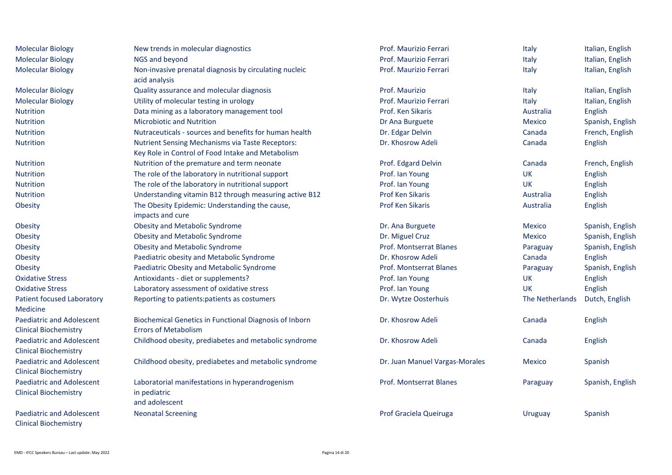| <b>Molecular Biology</b>          | New trends in molecular diagnostics                     | Prof. Maurizio Ferrari         | Italy           | Italian, English |
|-----------------------------------|---------------------------------------------------------|--------------------------------|-----------------|------------------|
| <b>Molecular Biology</b>          | NGS and beyond                                          | Prof. Maurizio Ferrari         | Italy           | Italian, English |
| <b>Molecular Biology</b>          | Non-invasive prenatal diagnosis by circulating nucleic  | Prof. Maurizio Ferrari         | Italy           | Italian, English |
|                                   | acid analysis                                           |                                |                 |                  |
| <b>Molecular Biology</b>          | Quality assurance and molecular diagnosis               | Prof. Maurizio                 | Italy           | Italian, English |
| <b>Molecular Biology</b>          | Utility of molecular testing in urology                 | Prof. Maurizio Ferrari         | Italy           | Italian, English |
| <b>Nutrition</b>                  | Data mining as a laboratory management tool             | Prof. Ken Sikaris              | Australia       | English          |
| Nutrition                         | <b>Microbiotic and Nutrition</b>                        | Dr Ana Burguete                | <b>Mexico</b>   | Spanish, English |
| <b>Nutrition</b>                  | Nutraceuticals - sources and benefits for human health  | Dr. Edgar Delvin               | Canada          | French, English  |
| Nutrition                         | <b>Nutrient Sensing Mechanisms via Taste Receptors:</b> | Dr. Khosrow Adeli              | Canada          | English          |
|                                   | Key Role in Control of Food Intake and Metabolism       |                                |                 |                  |
| <b>Nutrition</b>                  | Nutrition of the premature and term neonate             | Prof. Edgard Delvin            | Canada          | French, English  |
| Nutrition                         | The role of the laboratory in nutritional support       | Prof. Ian Young                | <b>UK</b>       | English          |
| <b>Nutrition</b>                  | The role of the laboratory in nutritional support       | Prof. Ian Young                | <b>UK</b>       | English          |
| Nutrition                         | Understanding vitamin B12 through measuring active B12  | <b>Prof Ken Sikaris</b>        | Australia       | English          |
| Obesity                           | The Obesity Epidemic: Understanding the cause,          | <b>Prof Ken Sikaris</b>        | Australia       | English          |
|                                   | impacts and cure                                        |                                |                 |                  |
| Obesity                           | <b>Obesity and Metabolic Syndrome</b>                   | Dr. Ana Burguete               | <b>Mexico</b>   | Spanish, English |
| Obesity                           | <b>Obesity and Metabolic Syndrome</b>                   | Dr. Miguel Cruz                | <b>Mexico</b>   | Spanish, English |
| Obesity                           | <b>Obesity and Metabolic Syndrome</b>                   | <b>Prof. Montserrat Blanes</b> | Paraguay        | Spanish, English |
| Obesity                           | Paediatric obesity and Metabolic Syndrome               | Dr. Khosrow Adeli              | Canada          | English          |
| Obesity                           | Paediatric Obesity and Metabolic Syndrome               | <b>Prof. Montserrat Blanes</b> | Paraguay        | Spanish, English |
| <b>Oxidative Stress</b>           | Antioxidants - diet or supplements?                     | Prof. Ian Young                | UK              | English          |
| <b>Oxidative Stress</b>           | Laboratory assessment of oxidative stress               | Prof. Ian Young                | <b>UK</b>       | English          |
| <b>Patient focused Laboratory</b> | Reporting to patients: patients as costumers            | Dr. Wytze Oosterhuis           | The Netherlands | Dutch, English   |
| <b>Medicine</b>                   |                                                         |                                |                 |                  |
| <b>Paediatric and Adolescent</b>  | Biochemical Genetics in Functional Diagnosis of Inborn  | Dr. Khosrow Adeli              | Canada          | English          |
| <b>Clinical Biochemistry</b>      | <b>Errors of Metabolism</b>                             |                                |                 |                  |
| Paediatric and Adolescent         | Childhood obesity, prediabetes and metabolic syndrome   | Dr. Khosrow Adeli              | Canada          | English          |
| <b>Clinical Biochemistry</b>      |                                                         |                                |                 |                  |
| Paediatric and Adolescent         | Childhood obesity, prediabetes and metabolic syndrome   | Dr. Juan Manuel Vargas-Morales | <b>Mexico</b>   | Spanish          |
| <b>Clinical Biochemistry</b>      |                                                         |                                |                 |                  |
| Paediatric and Adolescent         | Laboratorial manifestations in hyperandrogenism         | <b>Prof. Montserrat Blanes</b> | Paraguay        | Spanish, English |
| <b>Clinical Biochemistry</b>      | in pediatric                                            |                                |                 |                  |
|                                   | and adolescent                                          |                                |                 |                  |
| Paediatric and Adolescent         | <b>Neonatal Screening</b>                               | Prof Graciela Queiruga         | Uruguay         | Spanish          |
| <b>Clinical Biochemistry</b>      |                                                         |                                |                 |                  |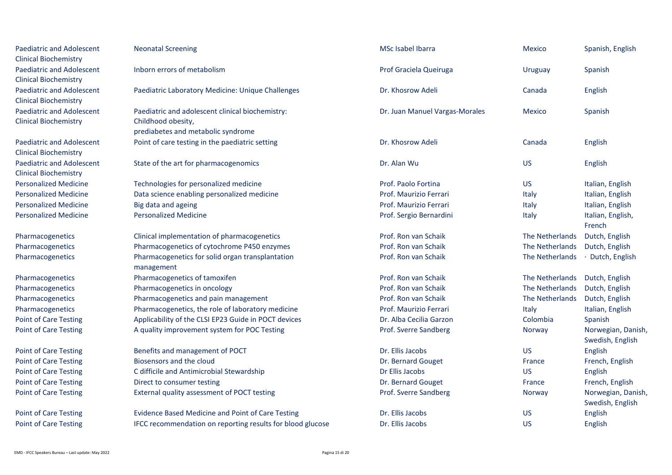| <b>Paediatric and Adolescent</b><br><b>Clinical Biochemistry</b> | <b>Neonatal Screening</b>                                                                                    | MSc Isabel Ibarra              | <b>Mexico</b>   | Spanish, English                       |
|------------------------------------------------------------------|--------------------------------------------------------------------------------------------------------------|--------------------------------|-----------------|----------------------------------------|
| <b>Paediatric and Adolescent</b><br><b>Clinical Biochemistry</b> | Inborn errors of metabolism                                                                                  | Prof Graciela Queiruga         | Uruguay         | Spanish                                |
| <b>Paediatric and Adolescent</b><br><b>Clinical Biochemistry</b> | Paediatric Laboratory Medicine: Unique Challenges                                                            | Dr. Khosrow Adeli              | Canada          | English                                |
| <b>Paediatric and Adolescent</b><br><b>Clinical Biochemistry</b> | Paediatric and adolescent clinical biochemistry:<br>Childhood obesity,<br>prediabetes and metabolic syndrome | Dr. Juan Manuel Vargas-Morales | <b>Mexico</b>   | Spanish                                |
| <b>Paediatric and Adolescent</b><br><b>Clinical Biochemistry</b> | Point of care testing in the paediatric setting                                                              | Dr. Khosrow Adeli              | Canada          | English                                |
| <b>Paediatric and Adolescent</b><br><b>Clinical Biochemistry</b> | State of the art for pharmacogenomics                                                                        | Dr. Alan Wu                    | <b>US</b>       | English                                |
| <b>Personalized Medicine</b>                                     | Technologies for personalized medicine                                                                       | Prof. Paolo Fortina            | <b>US</b>       | Italian, English                       |
| <b>Personalized Medicine</b>                                     | Data science enabling personalized medicine                                                                  | Prof. Maurizio Ferrari         | Italy           | Italian, English                       |
| <b>Personalized Medicine</b>                                     | Big data and ageing                                                                                          | Prof. Maurizio Ferrari         | Italy           | Italian, English                       |
| <b>Personalized Medicine</b>                                     | <b>Personalized Medicine</b>                                                                                 | Prof. Sergio Bernardini        | Italy           | Italian, English,<br>French            |
| Pharmacogenetics                                                 | Clinical implementation of pharmacogenetics                                                                  | Prof. Ron van Schaik           | The Netherlands | Dutch, English                         |
| Pharmacogenetics                                                 | Pharmacogenetics of cytochrome P450 enzymes                                                                  | Prof. Ron van Schaik           | The Netherlands | Dutch, English                         |
| Pharmacogenetics                                                 | Pharmacogenetics for solid organ transplantation<br>management                                               | Prof. Ron van Schaik           | The Netherlands | · Dutch, English                       |
| Pharmacogenetics                                                 | Pharmacogenetics of tamoxifen                                                                                | Prof. Ron van Schaik           | The Netherlands | Dutch, English                         |
| Pharmacogenetics                                                 | Pharmacogenetics in oncology                                                                                 | Prof. Ron van Schaik           | The Netherlands | Dutch, English                         |
| Pharmacogenetics                                                 | Pharmacogenetics and pain management                                                                         | Prof. Ron van Schaik           | The Netherlands | Dutch, English                         |
| Pharmacogenetics                                                 | Pharmacogenetics, the role of laboratory medicine                                                            | Prof. Maurizio Ferrari         | Italy           | Italian, English                       |
| <b>Point of Care Testing</b>                                     | Applicability of the CLSI EP23 Guide in POCT devices                                                         | Dr. Alba Cecilia Garzon        | Colombia        | Spanish                                |
| <b>Point of Care Testing</b>                                     | A quality improvement system for POC Testing                                                                 | Prof. Sverre Sandberg          | Norway          | Norwegian, Danish,<br>Swedish, English |
| <b>Point of Care Testing</b>                                     | Benefits and management of POCT                                                                              | Dr. Ellis Jacobs               | <b>US</b>       | English                                |
| <b>Point of Care Testing</b>                                     | Biosensors and the cloud                                                                                     | Dr. Bernard Gouget             | France          | French, English                        |
| <b>Point of Care Testing</b>                                     | C difficile and Antimicrobial Stewardship                                                                    | Dr Ellis Jacobs                | <b>US</b>       | English                                |
| <b>Point of Care Testing</b>                                     | Direct to consumer testing                                                                                   | Dr. Bernard Gouget             | France          | French, English                        |
| <b>Point of Care Testing</b>                                     | External quality assessment of POCT testing                                                                  | Prof. Sverre Sandberg          | Norway          | Norwegian, Danish,<br>Swedish, English |
| <b>Point of Care Testing</b>                                     | <b>Evidence Based Medicine and Point of Care Testing</b>                                                     | Dr. Ellis Jacobs               | <b>US</b>       | English                                |
| <b>Point of Care Testing</b>                                     | IFCC recommendation on reporting results for blood glucose                                                   | Dr. Ellis Jacobs               | <b>US</b>       | English                                |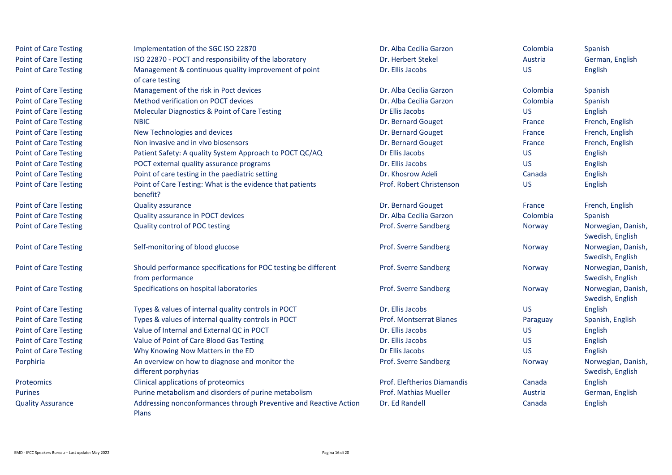| <b>Point of Care Testing</b> | Implementation of the SGC ISO 22870                                        | Dr. Alba Cecilia Garzon        | Colombia  | Spanish            |
|------------------------------|----------------------------------------------------------------------------|--------------------------------|-----------|--------------------|
| <b>Point of Care Testing</b> | ISO 22870 - POCT and responsibility of the laboratory                      | Dr. Herbert Stekel             | Austria   | German, English    |
| <b>Point of Care Testing</b> | Management & continuous quality improvement of point                       | Dr. Ellis Jacobs               | <b>US</b> | English            |
|                              | of care testing                                                            |                                |           |                    |
| <b>Point of Care Testing</b> | Management of the risk in Poct devices                                     | Dr. Alba Cecilia Garzon        | Colombia  | Spanish            |
| <b>Point of Care Testing</b> | Method verification on POCT devices                                        | Dr. Alba Cecilia Garzon        | Colombia  | Spanish            |
| <b>Point of Care Testing</b> | <b>Molecular Diagnostics &amp; Point of Care Testing</b>                   | Dr Ellis Jacobs                | <b>US</b> | English            |
| <b>Point of Care Testing</b> | <b>NBIC</b>                                                                | Dr. Bernard Gouget             | France    | French, English    |
| <b>Point of Care Testing</b> | New Technologies and devices                                               | Dr. Bernard Gouget             | France    | French, English    |
| <b>Point of Care Testing</b> | Non invasive and in vivo biosensors                                        | Dr. Bernard Gouget             | France    | French, English    |
| <b>Point of Care Testing</b> | Patient Safety: A quality System Approach to POCT QC/AQ                    | Dr Ellis Jacobs                | <b>US</b> | English            |
| <b>Point of Care Testing</b> | POCT external quality assurance programs                                   | Dr. Ellis Jacobs               | <b>US</b> | English            |
| <b>Point of Care Testing</b> | Point of care testing in the paediatric setting                            | Dr. Khosrow Adeli              | Canada    | English            |
| <b>Point of Care Testing</b> | Point of Care Testing: What is the evidence that patients                  | Prof. Robert Christenson       | <b>US</b> | English            |
|                              | benefit?                                                                   |                                |           |                    |
| <b>Point of Care Testing</b> | <b>Quality assurance</b>                                                   | Dr. Bernard Gouget             | France    | French, English    |
| <b>Point of Care Testing</b> | Quality assurance in POCT devices                                          | Dr. Alba Cecilia Garzon        | Colombia  | Spanish            |
| <b>Point of Care Testing</b> | Quality control of POC testing                                             | Prof. Sverre Sandberg          | Norway    | Norwegian, Danish, |
|                              |                                                                            |                                |           | Swedish, English   |
| <b>Point of Care Testing</b> | Self-monitoring of blood glucose                                           | Prof. Sverre Sandberg          | Norway    | Norwegian, Danish, |
|                              |                                                                            |                                |           | Swedish, English   |
| <b>Point of Care Testing</b> | Should performance specifications for POC testing be different             | Prof. Sverre Sandberg          | Norway    | Norwegian, Danish, |
|                              | from performance                                                           |                                |           | Swedish, English   |
| <b>Point of Care Testing</b> | Specifications on hospital laboratories                                    | Prof. Sverre Sandberg          | Norway    | Norwegian, Danish, |
|                              |                                                                            |                                |           | Swedish, English   |
| <b>Point of Care Testing</b> | Types & values of internal quality controls in POCT                        | Dr. Ellis Jacobs               | <b>US</b> | English            |
| <b>Point of Care Testing</b> | Types & values of internal quality controls in POCT                        | <b>Prof. Montserrat Blanes</b> | Paraguay  | Spanish, English   |
| <b>Point of Care Testing</b> | Value of Internal and External QC in POCT                                  | Dr. Ellis Jacobs               | <b>US</b> | English            |
| <b>Point of Care Testing</b> | Value of Point of Care Blood Gas Testing                                   | Dr. Ellis Jacobs               | <b>US</b> | English            |
| <b>Point of Care Testing</b> | Why Knowing Now Matters in the ED                                          | Dr Ellis Jacobs                | <b>US</b> | English            |
| Porphiria                    | An overview on how to diagnose and monitor the                             | Prof. Sverre Sandberg          | Norway    | Norwegian, Danish, |
|                              | different porphyrias                                                       |                                |           | Swedish, English   |
| Proteomics                   | Clinical applications of proteomics                                        | Prof. Eleftherios Diamandis    | Canada    | English            |
| <b>Purines</b>               | Purine metabolism and disorders of purine metabolism                       | <b>Prof. Mathias Mueller</b>   | Austria   | German, English    |
| <b>Quality Assurance</b>     | Addressing nonconformances through Preventive and Reactive Action<br>Plans | Dr. Ed Randell                 | Canada    | English            |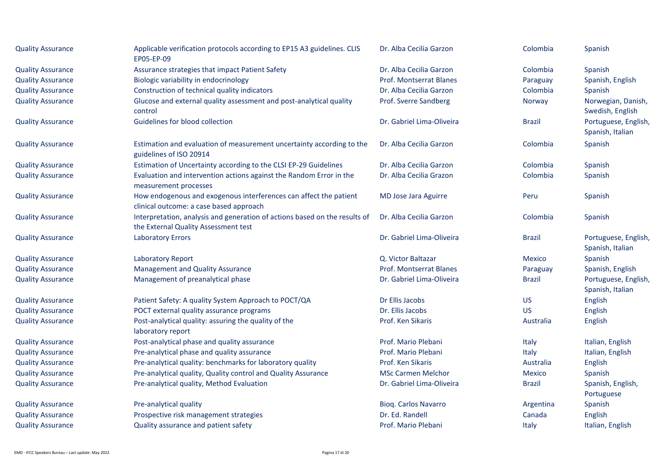| <b>Quality Assurance</b> | Applicable verification protocols according to EP15 A3 guidelines. CLIS<br>EP05-EP-09                              | Dr. Alba Cecilia Garzon     | Colombia      | Spanish                                  |
|--------------------------|--------------------------------------------------------------------------------------------------------------------|-----------------------------|---------------|------------------------------------------|
| <b>Quality Assurance</b> | Assurance strategies that impact Patient Safety                                                                    | Dr. Alba Cecilia Garzon     | Colombia      | Spanish                                  |
| <b>Quality Assurance</b> | Biologic variability in endocrinology                                                                              | Prof. Montserrat Blanes     | Paraguay      | Spanish, English                         |
| <b>Quality Assurance</b> | Construction of technical quality indicators                                                                       | Dr. Alba Cecilia Garzon     | Colombia      | Spanish                                  |
| <b>Quality Assurance</b> | Glucose and external quality assessment and post-analytical quality<br>control                                     | Prof. Sverre Sandberg       | Norway        | Norwegian, Danish,<br>Swedish, English   |
| <b>Quality Assurance</b> | Guidelines for blood collection                                                                                    | Dr. Gabriel Lima-Oliveira   | <b>Brazil</b> | Portuguese, English,<br>Spanish, Italian |
| <b>Quality Assurance</b> | Estimation and evaluation of measurement uncertainty according to the<br>guidelines of ISO 20914                   | Dr. Alba Cecilia Garzon     | Colombia      | Spanish                                  |
| <b>Quality Assurance</b> | Estimation of Uncertainty according to the CLSI EP-29 Guidelines                                                   | Dr. Alba Cecilia Garzon     | Colombia      | Spanish                                  |
| <b>Quality Assurance</b> | Evaluation and intervention actions against the Random Error in the<br>measurement processes                       | Dr. Alba Cecilia Grazon     | Colombia      | Spanish                                  |
| <b>Quality Assurance</b> | How endogenous and exogenous interferences can affect the patient<br>clinical outcome: a case based approach       | MD Jose Jara Aguirre        | Peru          | Spanish                                  |
| <b>Quality Assurance</b> | Interpretation, analysis and generation of actions based on the results of<br>the External Quality Assessment test | Dr. Alba Cecilia Garzon     | Colombia      | Spanish                                  |
| <b>Quality Assurance</b> | <b>Laboratory Errors</b>                                                                                           | Dr. Gabriel Lima-Oliveira   | <b>Brazil</b> | Portuguese, English,<br>Spanish, Italian |
| <b>Quality Assurance</b> | <b>Laboratory Report</b>                                                                                           | Q. Victor Baltazar          | Mexico        | Spanish                                  |
| <b>Quality Assurance</b> | <b>Management and Quality Assurance</b>                                                                            | Prof. Montserrat Blanes     | Paraguay      | Spanish, English                         |
| <b>Quality Assurance</b> | Management of preanalytical phase                                                                                  | Dr. Gabriel Lima-Oliveira   | <b>Brazil</b> | Portuguese, English,<br>Spanish, Italian |
| <b>Quality Assurance</b> | Patient Safety: A quality System Approach to POCT/QA                                                               | Dr Ellis Jacobs             | <b>US</b>     | English                                  |
| <b>Quality Assurance</b> | POCT external quality assurance programs                                                                           | Dr. Ellis Jacobs            | <b>US</b>     | English                                  |
| <b>Quality Assurance</b> | Post-analytical quality: assuring the quality of the<br>laboratory report                                          | Prof. Ken Sikaris           | Australia     | <b>English</b>                           |
| <b>Quality Assurance</b> | Post-analytical phase and quality assurance                                                                        | Prof. Mario Plebani         | Italy         | Italian, English                         |
| <b>Quality Assurance</b> | Pre-analytical phase and quality assurance                                                                         | Prof. Mario Plebani         | Italy         | Italian, English                         |
| <b>Quality Assurance</b> | Pre-analytical quality: benchmarks for laboratory quality                                                          | Prof. Ken Sikaris           | Australia     | <b>English</b>                           |
| <b>Quality Assurance</b> | Pre-analytical quality, Quality control and Quality Assurance                                                      | <b>MSc Carmen Melchor</b>   | <b>Mexico</b> | Spanish                                  |
| <b>Quality Assurance</b> | Pre-analytical quality, Method Evaluation                                                                          | Dr. Gabriel Lima-Oliveira   | <b>Brazil</b> | Spanish, English,<br>Portuguese          |
| <b>Quality Assurance</b> | Pre-analytical quality                                                                                             | <b>Bioq. Carlos Navarro</b> | Argentina     | Spanish                                  |
| <b>Quality Assurance</b> | Prospective risk management strategies                                                                             | Dr. Ed. Randell             | Canada        | <b>English</b>                           |
| <b>Quality Assurance</b> | Quality assurance and patient safety                                                                               | Prof. Mario Plebani         | Italy         | Italian, English                         |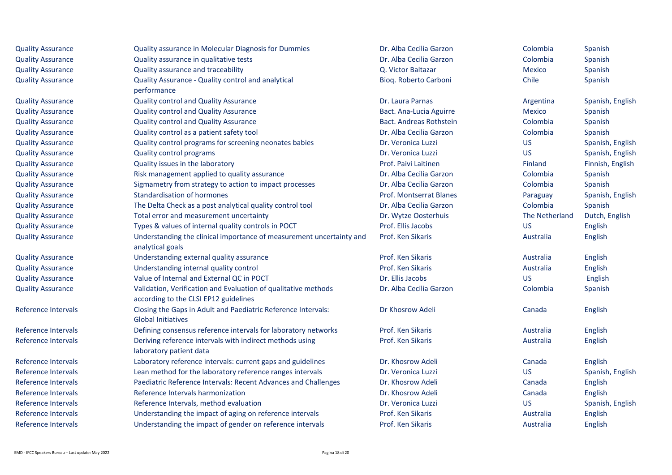| <b>Quality Assurance</b>   | Quality assurance in Molecular Diagnosis for Dummies                                                    | Dr. Alba Cecilia Garzon        | Colombia       | Spanish          |
|----------------------------|---------------------------------------------------------------------------------------------------------|--------------------------------|----------------|------------------|
| <b>Quality Assurance</b>   | Quality assurance in qualitative tests                                                                  | Dr. Alba Cecilia Garzon        | Colombia       | Spanish          |
| <b>Quality Assurance</b>   | Quality assurance and traceability                                                                      | Q. Victor Baltazar             | <b>Mexico</b>  | Spanish          |
| <b>Quality Assurance</b>   | Quality Assurance - Quality control and analytical                                                      | Bioq. Roberto Carboni          | Chile          | Spanish          |
|                            | performance                                                                                             |                                |                |                  |
| <b>Quality Assurance</b>   | Quality control and Quality Assurance                                                                   | Dr. Laura Parnas               | Argentina      | Spanish, English |
| <b>Quality Assurance</b>   | <b>Quality control and Quality Assurance</b>                                                            | Bact. Ana-Lucia Aguirre        | <b>Mexico</b>  | Spanish          |
| <b>Quality Assurance</b>   | Quality control and Quality Assurance                                                                   | <b>Bact. Andreas Rothstein</b> | Colombia       | Spanish          |
| <b>Quality Assurance</b>   | Quality control as a patient safety tool                                                                | Dr. Alba Cecilia Garzon        | Colombia       | Spanish          |
| <b>Quality Assurance</b>   | Quality control programs for screening neonates babies                                                  | Dr. Veronica Luzzi             | <b>US</b>      | Spanish, English |
| <b>Quality Assurance</b>   | <b>Quality control programs</b>                                                                         | Dr. Veronica Luzzi             | <b>US</b>      | Spanish, English |
| <b>Quality Assurance</b>   | Quality issues in the laboratory                                                                        | Prof. Paivi Laitinen           | Finland        | Finnish, English |
| <b>Quality Assurance</b>   | Risk management applied to quality assurance                                                            | Dr. Alba Cecilia Garzon        | Colombia       | Spanish          |
| <b>Quality Assurance</b>   | Sigmametry from strategy to action to impact processes                                                  | Dr. Alba Cecilia Garzon        | Colombia       | Spanish          |
| <b>Quality Assurance</b>   | Standardisation of hormones                                                                             | <b>Prof. Montserrat Blanes</b> | Paraguay       | Spanish, English |
| <b>Quality Assurance</b>   | The Delta Check as a post analytical quality control tool                                               | Dr. Alba Cecilia Garzon        | Colombia       | Spanish          |
| <b>Quality Assurance</b>   | Total error and measurement uncertainty                                                                 | Dr. Wytze Oosterhuis           | The Netherland | Dutch, English   |
| <b>Quality Assurance</b>   | Types & values of internal quality controls in POCT                                                     | Prof. Ellis Jacobs             | <b>US</b>      | English          |
| <b>Quality Assurance</b>   | Understanding the clinical importance of measurement uncertainty and<br>analytical goals                | Prof. Ken Sikaris              | Australia      | English          |
| <b>Quality Assurance</b>   | Understanding external quality assurance                                                                | Prof. Ken Sikaris              | Australia      | English          |
| <b>Quality Assurance</b>   | Understanding internal quality control                                                                  | Prof. Ken Sikaris              | Australia      | English          |
| <b>Quality Assurance</b>   | Value of Internal and External QC in POCT                                                               | Dr. Ellis Jacobs               | <b>US</b>      | English          |
| <b>Quality Assurance</b>   | Validation, Verification and Evaluation of qualitative methods<br>according to the CLSI EP12 guidelines | Dr. Alba Cecilia Garzon        | Colombia       | Spanish          |
| Reference Intervals        | Closing the Gaps in Adult and Paediatric Reference Intervals:<br><b>Global Initiatives</b>              | Dr Khosrow Adeli               | Canada         | English          |
| Reference Intervals        | Defining consensus reference intervals for laboratory networks                                          | Prof. Ken Sikaris              | Australia      | English          |
| Reference Intervals        | Deriving reference intervals with indirect methods using<br>laboratory patient data                     | Prof. Ken Sikaris              | Australia      | English          |
| Reference Intervals        | Laboratory reference intervals: current gaps and guidelines                                             | Dr. Khosrow Adeli              | Canada         | English          |
| Reference Intervals        | Lean method for the laboratory reference ranges intervals                                               | Dr. Veronica Luzzi             | <b>US</b>      | Spanish, English |
| Reference Intervals        | Paediatric Reference Intervals: Recent Advances and Challenges                                          | Dr. Khosrow Adeli              | Canada         | English          |
| Reference Intervals        | Reference Intervals harmonization                                                                       | Dr. Khosrow Adeli              | Canada         | English          |
| Reference Intervals        | Reference Intervals, method evaluation                                                                  | Dr. Veronica Luzzi             | <b>US</b>      | Spanish, English |
| <b>Reference Intervals</b> | Understanding the impact of aging on reference intervals                                                | Prof. Ken Sikaris              | Australia      | English          |
| Reference Intervals        | Understanding the impact of gender on reference intervals                                               | Prof. Ken Sikaris              | Australia      | English          |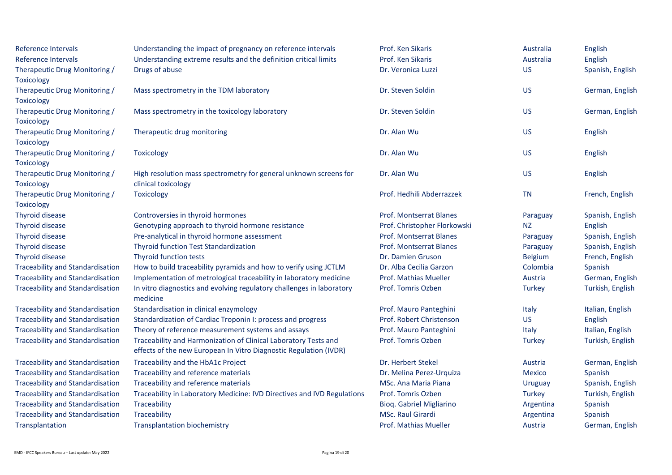| Reference Intervals                     | Understanding the impact of pregnancy on reference intervals            | Prof. Ken Sikaris            | Australia      | English          |
|-----------------------------------------|-------------------------------------------------------------------------|------------------------------|----------------|------------------|
| Reference Intervals                     | Understanding extreme results and the definition critical limits        | Prof. Ken Sikaris            | Australia      | English          |
| Therapeutic Drug Monitoring /           | Drugs of abuse                                                          | Dr. Veronica Luzzi           | <b>US</b>      | Spanish, English |
| <b>Toxicology</b>                       |                                                                         |                              |                |                  |
| Therapeutic Drug Monitoring /           | Mass spectrometry in the TDM laboratory                                 | Dr. Steven Soldin            | <b>US</b>      | German, English  |
| <b>Toxicology</b>                       |                                                                         |                              |                |                  |
| Therapeutic Drug Monitoring /           | Mass spectrometry in the toxicology laboratory                          | Dr. Steven Soldin            | <b>US</b>      | German, English  |
| <b>Toxicology</b>                       |                                                                         |                              |                |                  |
| Therapeutic Drug Monitoring /           | Therapeutic drug monitoring                                             | Dr. Alan Wu                  | <b>US</b>      | English          |
| Toxicology                              |                                                                         |                              |                |                  |
| Therapeutic Drug Monitoring /           | Toxicology                                                              | Dr. Alan Wu                  | <b>US</b>      | English          |
| Toxicology                              |                                                                         |                              |                |                  |
| Therapeutic Drug Monitoring /           | High resolution mass spectrometry for general unknown screens for       | Dr. Alan Wu                  | <b>US</b>      | English          |
| <b>Toxicology</b>                       | clinical toxicology                                                     |                              |                |                  |
| Therapeutic Drug Monitoring /           | Toxicology                                                              | Prof. Hedhili Abderrazzek    | <b>TN</b>      | French, English  |
| <b>Toxicology</b>                       |                                                                         |                              |                |                  |
| Thyroid disease                         | Controversies in thyroid hormones                                       | Prof. Montserrat Blanes      | Paraguay       | Spanish, English |
| Thyroid disease                         | Genotyping approach to thyroid hormone resistance                       | Prof. Christopher Florkowski | NZ.            | English          |
| Thyroid disease                         | Pre-analytical in thyroid hormone assessment                            | Prof. Montserrat Blanes      | Paraguay       | Spanish, English |
| Thyroid disease                         | <b>Thyroid function Test Standardization</b>                            | Prof. Montserrat Blanes      | Paraguay       | Spanish, English |
| Thyroid disease                         | Thyroid function tests                                                  | Dr. Damien Gruson            | <b>Belgium</b> | French, English  |
| <b>Traceability and Standardisation</b> | How to build traceability pyramids and how to verify using JCTLM        | Dr. Alba Cecilia Garzon      | Colombia       | Spanish          |
| <b>Traceability and Standardisation</b> | Implementation of metrological traceability in laboratory medicine      | <b>Prof. Mathias Mueller</b> | Austria        | German, English  |
| <b>Traceability and Standardisation</b> | In vitro diagnostics and evolving regulatory challenges in laboratory   | Prof. Tomris Ozben           | Turkey         | Turkish, English |
|                                         | medicine                                                                |                              |                |                  |
| <b>Traceability and Standardisation</b> | Standardisation in clinical enzymology                                  | Prof. Mauro Panteghini       | Italy          | Italian, English |
| <b>Traceability and Standardisation</b> | Standardization of Cardiac Troponin I: process and progress             | Prof. Robert Christenson     | <b>US</b>      | English          |
| <b>Traceability and Standardisation</b> | Theory of reference measurement systems and assays                      | Prof. Mauro Panteghini       | Italy          | Italian, English |
| <b>Traceability and Standardisation</b> | Traceability and Harmonization of Clinical Laboratory Tests and         | Prof. Tomris Ozben           | <b>Turkey</b>  | Turkish, English |
|                                         | effects of the new European In Vitro Diagnostic Regulation (IVDR)       |                              |                |                  |
| <b>Traceability and Standardisation</b> | Traceability and the HbA1c Project                                      | Dr. Herbert Stekel           | Austria        | German, English  |
| <b>Traceability and Standardisation</b> | Traceability and reference materials                                    | Dr. Melina Perez-Urquiza     | Mexico         | Spanish          |
| <b>Traceability and Standardisation</b> | Traceability and reference materials                                    | MSc. Ana Maria Piana         | Uruguay        | Spanish, English |
| <b>Traceability and Standardisation</b> | Traceability in Laboratory Medicine: IVD Directives and IVD Regulations | Prof. Tomris Ozben           | Turkey         | Turkish, English |
| <b>Traceability and Standardisation</b> | Traceability                                                            | Bioq. Gabriel Migliarino     | Argentina      | Spanish          |
| <b>Traceability and Standardisation</b> | Traceability                                                            | <b>MSc. Raul Girardi</b>     | Argentina      | Spanish          |
| Transplantation                         | <b>Transplantation biochemistry</b>                                     | Prof. Mathias Mueller        | Austria        | German, English  |